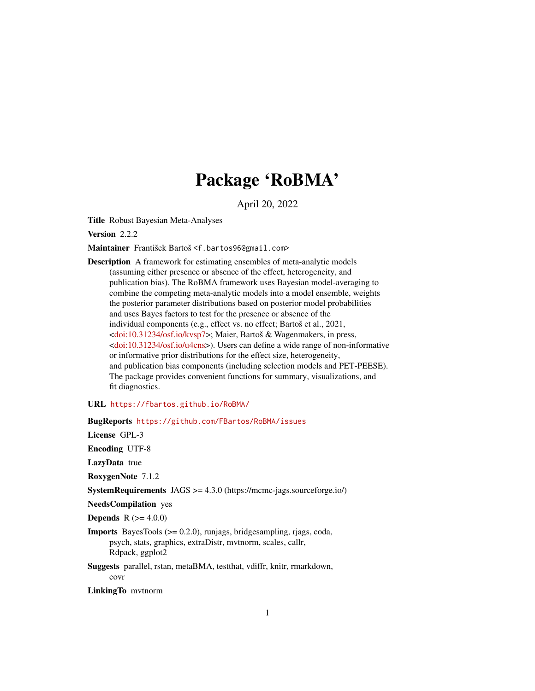# Package 'RoBMA'

April 20, 2022

<span id="page-0-0"></span>Title Robust Bayesian Meta-Analyses

Version 2.2.2

Maintainer František Bartoš <f.bartos96@gmail.com>

Description A framework for estimating ensembles of meta-analytic models (assuming either presence or absence of the effect, heterogeneity, and publication bias). The RoBMA framework uses Bayesian model-averaging to combine the competing meta-analytic models into a model ensemble, weights the posterior parameter distributions based on posterior model probabilities and uses Bayes factors to test for the presence or absence of the individual components (e.g., effect vs. no effect; Bartoš et al., 2021, [<doi:10.31234/osf.io/kvsp7>](https://doi.org/10.31234/osf.io/kvsp7); Maier, Bartoš & Wagenmakers, in press, [<doi:10.31234/osf.io/u4cns>](https://doi.org/10.31234/osf.io/u4cns)). Users can define a wide range of non-informative or informative prior distributions for the effect size, heterogeneity, and publication bias components (including selection models and PET-PEESE). The package provides convenient functions for summary, visualizations, and fit diagnostics.

URL <https://fbartos.github.io/RoBMA/>

BugReports <https://github.com/FBartos/RoBMA/issues>

License GPL-3

Encoding UTF-8

LazyData true

RoxygenNote 7.1.2

SystemRequirements JAGS >= 4.3.0 (https://mcmc-jags.sourceforge.io/)

NeedsCompilation yes

**Depends** R  $(>= 4.0.0)$ 

Imports BayesTools (>= 0.2.0), runjags, bridgesampling, rjags, coda, psych, stats, graphics, extraDistr, mvtnorm, scales, callr, Rdpack, ggplot2

Suggests parallel, rstan, metaBMA, testthat, vdiffr, knitr, rmarkdown, covr

LinkingTo mvtnorm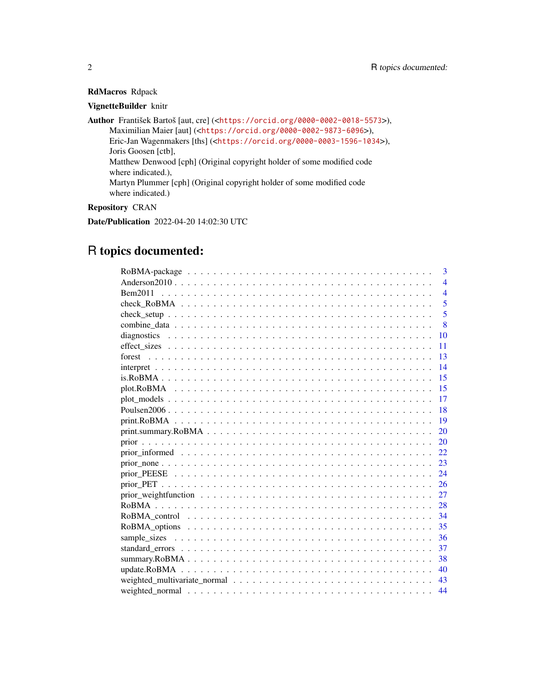## RdMacros Rdpack

## VignetteBuilder knitr

Author František Bartoš [aut, cre] (<<https://orcid.org/0000-0002-0018-5573>>), Maximilian Maier [aut] (<<https://orcid.org/0000-0002-9873-6096>>), Eric-Jan Wagenmakers [ths] (<<https://orcid.org/0000-0003-1596-1034>>), Joris Goosen [ctb], Matthew Denwood [cph] (Original copyright holder of some modified code where indicated.), Martyn Plummer [cph] (Original copyright holder of some modified code where indicated.)

## Repository CRAN

Date/Publication 2022-04-20 14:02:30 UTC

## R topics documented:

| 3              |
|----------------|
| $\overline{4}$ |
| $\overline{4}$ |
| 5              |
| 5              |
| 8              |
| 10             |
| 11             |
| 13             |
| 14             |
| 15             |
| -15            |
| 17             |
| 18             |
| 19             |
| 20             |
| 20             |
| 22             |
| 23             |
| 24             |
| 26             |
| 27             |
| 28             |
| 34             |
| 35             |
|                |
| 37             |
| 38             |
| 40             |
| 43             |
| 44             |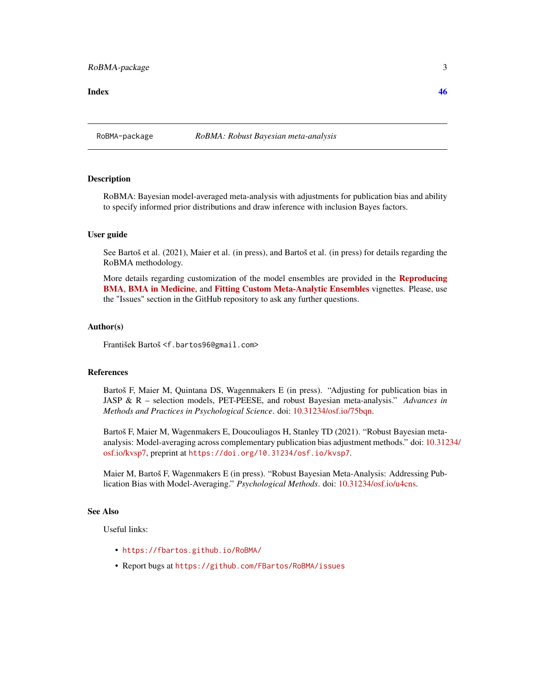#### <span id="page-2-0"></span>**Index a** set of the set of the set of the set of the set of the set of the set of the set of the set of the set of the set of the set of the set of the set of the set of the set of the set of the set of the set of the s

RoBMA-package *RoBMA: Robust Bayesian meta-analysis*

#### **Description**

RoBMA: Bayesian model-averaged meta-analysis with adjustments for publication bias and ability to specify informed prior distributions and draw inference with inclusion Bayes factors.

#### User guide

See Bartoš et al. (2021), Maier et al. (in press), and Bartoš et al. (in press) for details regarding the RoBMA methodology.

More details regarding customization of the model ensembles are provided in the **[Reproducing](../doc/ReproducingBMA.html)** [BMA](../doc/ReproducingBMA.html), [BMA in Medicine](../doc/MedicineBMA.html), and [Fitting Custom Meta-Analytic Ensembles](../doc/CustomEnsembles.html) vignettes. Please, use the "Issues" section in the GitHub repository to ask any further questions.

#### Author(s)

František Bartoš <f.bartos96@gmail.com>

#### References

Bartoš F, Maier M, Quintana DS, Wagenmakers E (in press). "Adjusting for publication bias in JASP & R – selection models, PET-PEESE, and robust Bayesian meta-analysis." *Advances in Methods and Practices in Psychological Science*. doi: [10.31234/osf.io/75bqn.](https://doi.org/10.31234/osf.io/75bqn)

Bartoš F, Maier M, Wagenmakers E, Doucouliagos H, Stanley TD (2021). "Robust Bayesian metaanalysis: Model-averaging across complementary publication bias adjustment methods." doi: [10.312](https://doi.org/10.31234/osf.io/kvsp7)34/ [osf.io/kvsp7,](https://doi.org/10.31234/osf.io/kvsp7) preprint at <https://doi.org/10.31234/osf.io/kvsp7>.

Maier M, Bartoš F, Wagenmakers E (in press). "Robust Bayesian Meta-Analysis: Addressing Publication Bias with Model-Averaging." *Psychological Methods*. doi: [10.31234/osf.io/u4cns.](https://doi.org/10.31234/osf.io/u4cns)

#### See Also

Useful links:

- <https://fbartos.github.io/RoBMA/>
- Report bugs at <https://github.com/FBartos/RoBMA/issues>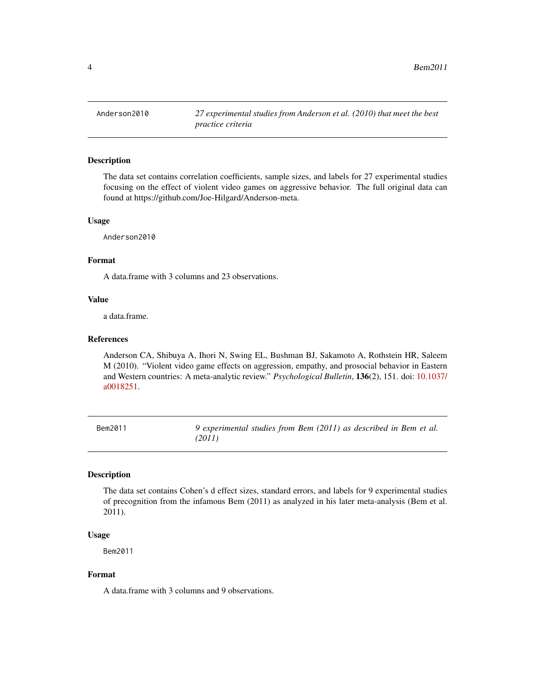<span id="page-3-0"></span>

#### Description

The data set contains correlation coefficients, sample sizes, and labels for 27 experimental studies focusing on the effect of violent video games on aggressive behavior. The full original data can found at https://github.com/Joe-Hilgard/Anderson-meta.

#### Usage

Anderson2010

#### Format

A data.frame with 3 columns and 23 observations.

#### Value

a data.frame.

#### References

Anderson CA, Shibuya A, Ihori N, Swing EL, Bushman BJ, Sakamoto A, Rothstein HR, Saleem M (2010). "Violent video game effects on aggression, empathy, and prosocial behavior in Eastern and Western countries: A meta-analytic review." *Psychological Bulletin*, 136(2), 151. doi: [10.1037/](https://doi.org/10.1037/a0018251) [a0018251.](https://doi.org/10.1037/a0018251)

Bem2011 *9 experimental studies from Bem (2011) as described in Bem et al. (2011)*

## Description

The data set contains Cohen's d effect sizes, standard errors, and labels for 9 experimental studies of precognition from the infamous Bem (2011) as analyzed in his later meta-analysis (Bem et al. 2011).

#### Usage

Bem2011

#### Format

A data.frame with 3 columns and 9 observations.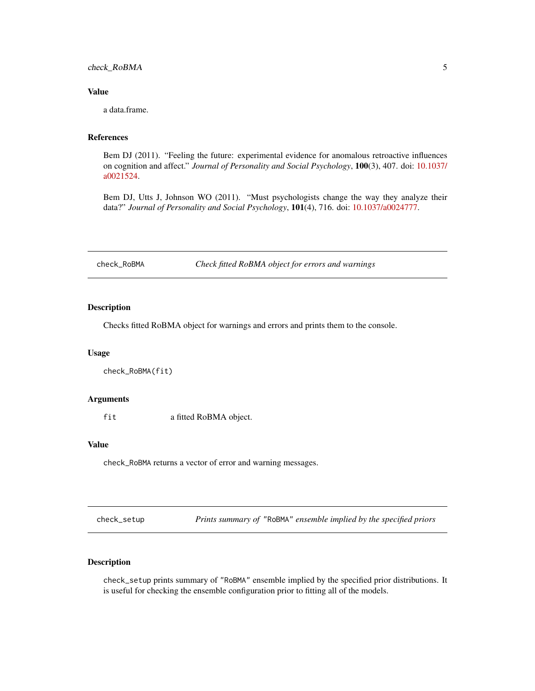<span id="page-4-0"></span>check\_RoBMA 5

#### Value

a data.frame.

#### References

Bem DJ (2011). "Feeling the future: experimental evidence for anomalous retroactive influences on cognition and affect." *Journal of Personality and Social Psychology*, 100(3), 407. doi: [10.1037/](https://doi.org/10.1037/a0021524) [a0021524.](https://doi.org/10.1037/a0021524)

Bem DJ, Utts J, Johnson WO (2011). "Must psychologists change the way they analyze their data?" *Journal of Personality and Social Psychology*, 101(4), 716. doi: [10.1037/a0024777.](https://doi.org/10.1037/a0024777)

<span id="page-4-2"></span>check\_RoBMA *Check fitted RoBMA object for errors and warnings*

## Description

Checks fitted RoBMA object for warnings and errors and prints them to the console.

#### Usage

check\_RoBMA(fit)

## Arguments

fit a fitted RoBMA object.

#### Value

check\_RoBMA returns a vector of error and warning messages.

<span id="page-4-1"></span>check\_setup *Prints summary of* "RoBMA" *ensemble implied by the specified priors*

## Description

check\_setup prints summary of "RoBMA" ensemble implied by the specified prior distributions. It is useful for checking the ensemble configuration prior to fitting all of the models.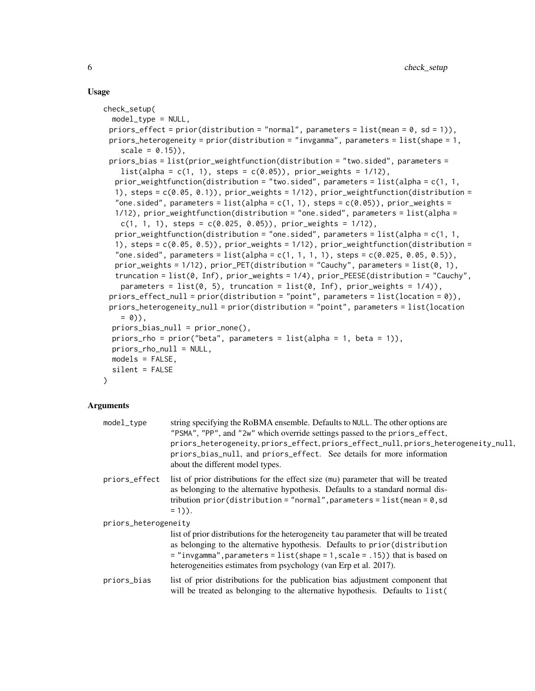#### Usage

```
check_setup(
  model_type = NULL,
 priors_effect = prior(distribution = "normal", parameters = list(mean = 0, sd = 1)),
 priors_heterogeneity = prior(distribution = "invgamma", parameters = list(shape = 1,
    scale = 0.15),
 priors_bias = list(prior_weightfunction(distribution = "two.sided", parameters =
    list(alpha = c(1, 1), steps = c(0.05)), prior_weights = 1/12),prior_weightfunction(distribution = "two.sided", parameters = list(alpha = c(1, 1,
  1), steps = c(0.05, 0.1), prior_weights = 1/12), prior_weightfunction(distribution =
  "one.sided", parameters = list(alpha = c(1, 1), steps = c(0.05)), prior_weights =
  1/12), prior_weightfunction(distribution = "one.sided", parameters = list(alpha =
   c(1, 1, 1), steps = c(0.025, 0.05)), prior_weights = 1/12),
  prior_weightfunction(distribution = "one.sided", parameters = list(alpha = c(1, 1,
  1), steps = c(0.05, 0.5), prior_weights = 1/12), prior_weightfunction(distribution =
  "one.sided", parameters = list(alpha = c(1, 1, 1, 1), steps = c(0.025, 0.05, 0.5)),
  prior_weights = 1/12), prior_PET(distribution = "Cauchy", parameters = list(0, 1),
  truncation = list(0, Inf), prior_weights = 1/4), prior_PEESE(distribution = "Cauchy",
    parameters = list(0, 5), truncation = list(0, Inf), prior_weights = 1/4)),
 priors_effect_null = prior(distribution = "point", parameters = list(location = 0)),
 priors_heterogeneity_null = prior(distribution = "point", parameters = list(location
    = 0),
  priors_bias_null = prior_none(),
  priors_rho = prior("beta", parameters = list(alpha = 1, beta = 1)),priors_rho_null = NULL,
 models = FALSE,
  silent = FALSE
\lambda
```

| $model_{\text{type}}$ | string specifying the RoBMA ensemble. Defaults to NULL. The other options are<br>"PSMA", "PP", and "2w" which override settings passed to the priors_effect,<br>priors_heterogeneity, priors_effect, priors_effect_null, priors_heterogeneity_null,<br>priors_bias_null, and priors_effect. See details for more information<br>about the different model types. |  |
|-----------------------|------------------------------------------------------------------------------------------------------------------------------------------------------------------------------------------------------------------------------------------------------------------------------------------------------------------------------------------------------------------|--|
| priors_effect         | list of prior distributions for the effect size (mu) parameter that will be treated<br>as belonging to the alternative hypothesis. Defaults to a standard normal dis-<br>tribution prior(distribution = "normal", parameters = $list$ (mean = 0, sd<br>$= 1$ ).                                                                                                  |  |
| priors_heterogeneity  |                                                                                                                                                                                                                                                                                                                                                                  |  |
|                       | list of prior distributions for the heterogeneity tau parameter that will be treated<br>as belonging to the alternative hypothesis. Defaults to prior (distribution<br>$=$ "invgamma", parameters = list(shape = 1, scale = .15)) that is based on<br>heterogeneities estimates from psychology (van Erp et al. 2017).                                           |  |
| priors_bias           | list of prior distributions for the publication bias adjustment component that<br>will be treated as belonging to the alternative hypothesis. Defaults to list (                                                                                                                                                                                                 |  |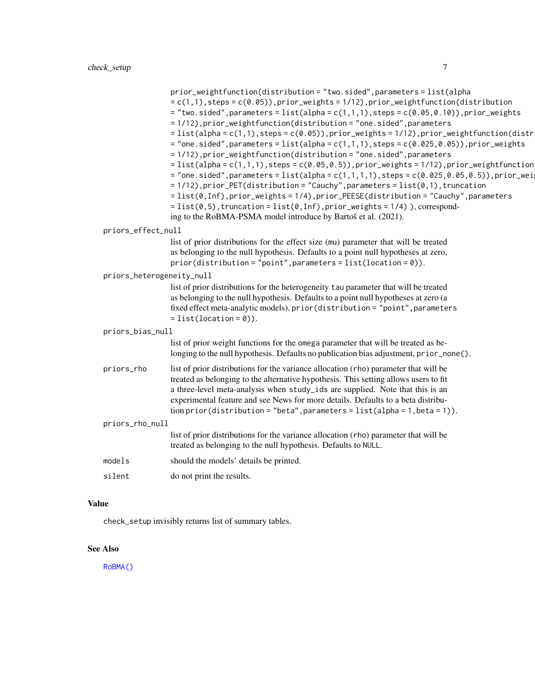<span id="page-6-0"></span>

|                           | prior_weightfunction(distribution = "two.sided", parameters = list(alpha<br>$= c(1,1)$ , steps = $c(0.05)$ , prior_weights = 1/12), prior_weightfunction(distribution<br>$=$ "two.sided", parameters = list(alpha = c(1,1,1), steps = c(0.05,0.10)), prior_weights<br>= 1/12), prior_weightfunction(distribution = "one.sided", parameters<br>$=$ list(alpha = c(1,1), steps = c(0.05)), prior_weights = 1/12), prior_weightfunction(distr<br>$=$ "one.sided", parameters = list(alpha = c(1,1,1), steps = c(0.025,0.05)), prior_weights<br>= 1/12), prior_weightfunction(distribution = "one.sided", parameters<br>$=$ list(alpha = c(1,1,1), steps = c(0.05,0.5)), prior_weights = 1/12), prior_weightfunction<br>= "one.sided", parameters = list(alpha = $c(1,1,1,1)$ , steps = $c(0.025, 0.05, 0.5)$ ), prior_wei<br>$= 1/12$ ), prior_PET(distribution = "Cauchy", parameters = $list(0,1)$ , truncation<br>= list(0, Inf), prior_weights = 1/4), prior_PEESE(distribution = "Cauchy", parameters<br>$= list(0, 5)$ , truncation = list(0, Inf), prior_weights = 1/4) ), correspond-<br>ing to the RoBMA-PSMA model introduce by Bartoš et al. (2021). |
|---------------------------|--------------------------------------------------------------------------------------------------------------------------------------------------------------------------------------------------------------------------------------------------------------------------------------------------------------------------------------------------------------------------------------------------------------------------------------------------------------------------------------------------------------------------------------------------------------------------------------------------------------------------------------------------------------------------------------------------------------------------------------------------------------------------------------------------------------------------------------------------------------------------------------------------------------------------------------------------------------------------------------------------------------------------------------------------------------------------------------------------------------------------------------------------------------|
| priors_effect_null        |                                                                                                                                                                                                                                                                                                                                                                                                                                                                                                                                                                                                                                                                                                                                                                                                                                                                                                                                                                                                                                                                                                                                                              |
|                           | list of prior distributions for the effect size (mu) parameter that will be treated<br>as belonging to the null hypothesis. Defaults to a point null hypotheses at zero,<br>$prior(distribution = "point", parameters = list(location = 0)).$                                                                                                                                                                                                                                                                                                                                                                                                                                                                                                                                                                                                                                                                                                                                                                                                                                                                                                                |
| priors_heterogeneity_null |                                                                                                                                                                                                                                                                                                                                                                                                                                                                                                                                                                                                                                                                                                                                                                                                                                                                                                                                                                                                                                                                                                                                                              |
|                           | list of prior distributions for the heterogeneity tau parameter that will be treated<br>as belonging to the null hypothesis. Defaults to a point null hypotheses at zero (a<br>fixed effect meta-analytic models), prior (distribution = "point", parameters<br>$= list(location = 0)).$                                                                                                                                                                                                                                                                                                                                                                                                                                                                                                                                                                                                                                                                                                                                                                                                                                                                     |
| priors_bias_null          |                                                                                                                                                                                                                                                                                                                                                                                                                                                                                                                                                                                                                                                                                                                                                                                                                                                                                                                                                                                                                                                                                                                                                              |
|                           | list of prior weight functions for the omega parameter that will be treated as be-<br>longing to the null hypothesis. Defaults no publication bias adjustment, prior_none().                                                                                                                                                                                                                                                                                                                                                                                                                                                                                                                                                                                                                                                                                                                                                                                                                                                                                                                                                                                 |
| priors_rho                | list of prior distributions for the variance allocation (rho) parameter that will be<br>treated as belonging to the alternative hypothesis. This setting allows users to fit<br>a three-level meta-analysis when study_ids are supplied. Note that this is an<br>experimental feature and see News for more details. Defaults to a beta distribu-<br>$\frac{1}{1}$ tion prior(distribution = "beta", parameters = list(alpha = 1, beta = 1)).                                                                                                                                                                                                                                                                                                                                                                                                                                                                                                                                                                                                                                                                                                                |
| priors_rho_null           |                                                                                                                                                                                                                                                                                                                                                                                                                                                                                                                                                                                                                                                                                                                                                                                                                                                                                                                                                                                                                                                                                                                                                              |
|                           | list of prior distributions for the variance allocation (rho) parameter that will be<br>treated as belonging to the null hypothesis. Defaults to NULL.                                                                                                                                                                                                                                                                                                                                                                                                                                                                                                                                                                                                                                                                                                                                                                                                                                                                                                                                                                                                       |
| models                    | should the models' details be printed.                                                                                                                                                                                                                                                                                                                                                                                                                                                                                                                                                                                                                                                                                                                                                                                                                                                                                                                                                                                                                                                                                                                       |
| silent                    | do not print the results.                                                                                                                                                                                                                                                                                                                                                                                                                                                                                                                                                                                                                                                                                                                                                                                                                                                                                                                                                                                                                                                                                                                                    |
|                           |                                                                                                                                                                                                                                                                                                                                                                                                                                                                                                                                                                                                                                                                                                                                                                                                                                                                                                                                                                                                                                                                                                                                                              |

## Value

check\_setup invisibly returns list of summary tables.

## See Also

[RoBMA\(\)](#page-27-1)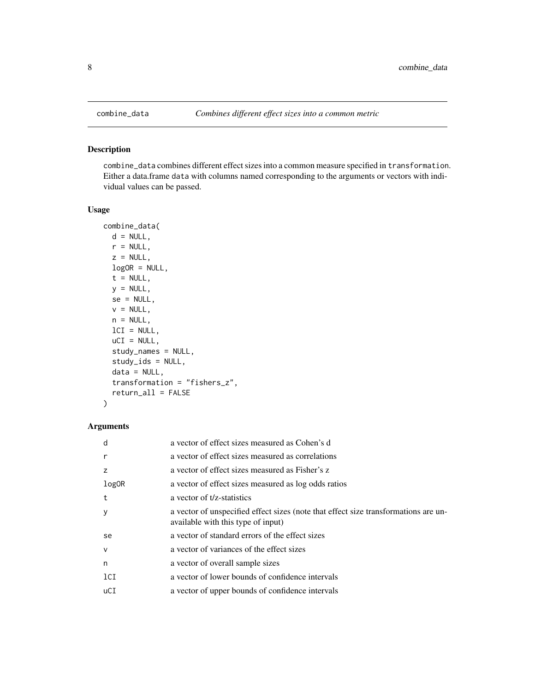#### Description

combine\_data combines different effect sizes into a common measure specified in transformation. Either a data.frame data with columns named corresponding to the arguments or vectors with individual values can be passed.

#### Usage

```
combine_data(
 d = NULL,r = NULL,z = NULL,logOR = NULL,t = NULL,y = NULL,se = NULL,v = NULL,n = NULL,lCI = NULL,uCI = NULL,study_names = NULL,
  study_ids = NULL,
  data = NULL,
  transformation = "fishers_z",
  return_all = FALSE
)
```

| d      | a vector of effect sizes measured as Cohen's d                                                                            |
|--------|---------------------------------------------------------------------------------------------------------------------------|
| r      | a vector of effect sizes measured as correlations                                                                         |
| Z      | a vector of effect sizes measured as Fisher's z                                                                           |
| log0R  | a vector of effect sizes measured as log odds ratios                                                                      |
| t      | a vector of t/z-statistics                                                                                                |
| V      | a vector of unspecified effect sizes (note that effect size transformations are un-<br>available with this type of input) |
| se.    | a vector of standard errors of the effect sizes                                                                           |
| $\vee$ | a vector of variances of the effect sizes                                                                                 |
| n      | a vector of overall sample sizes                                                                                          |
| 1CI    | a vector of lower bounds of confidence intervals                                                                          |
| uCI    | a vector of upper bounds of confidence intervals                                                                          |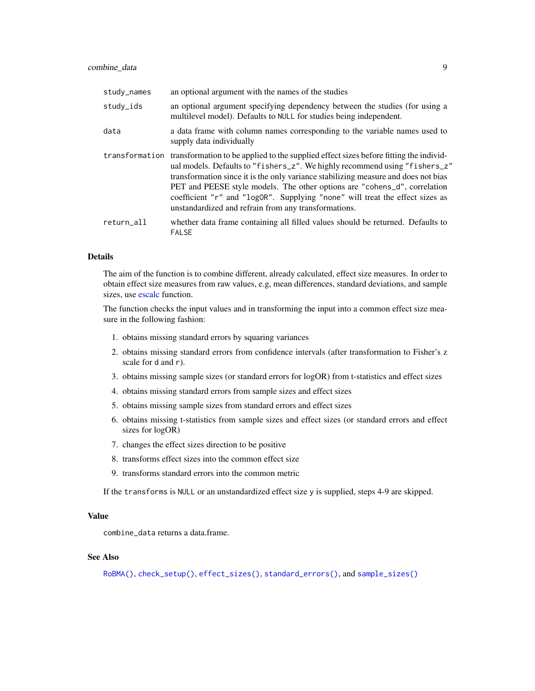<span id="page-8-0"></span>

| study_names | an optional argument with the names of the studies                                                                                                                                                                                                                                                                                                                                                                                                                                            |
|-------------|-----------------------------------------------------------------------------------------------------------------------------------------------------------------------------------------------------------------------------------------------------------------------------------------------------------------------------------------------------------------------------------------------------------------------------------------------------------------------------------------------|
| study_ids   | an optional argument specifying dependency between the studies (for using a<br>multilevel model). Defaults to NULL for studies being independent.                                                                                                                                                                                                                                                                                                                                             |
| data        | a data frame with column names corresponding to the variable names used to<br>supply data individually                                                                                                                                                                                                                                                                                                                                                                                        |
|             | transformation transformation to be applied to the supplied effect sizes before fitting the individ-<br>ual models. Defaults to "fishers_z". We highly recommend using "fishers_z"<br>transformation since it is the only variance stabilizing measure and does not bias<br>PET and PEESE style models. The other options are "cohens_d", correlation<br>coefficient "r" and "logOR". Supplying "none" will treat the effect sizes as<br>unstandardized and refrain from any transformations. |
| return_all  | whether data frame containing all filled values should be returned. Defaults to<br><b>FALSE</b>                                                                                                                                                                                                                                                                                                                                                                                               |

#### Details

The aim of the function is to combine different, already calculated, effect size measures. In order to obtain effect size measures from raw values, e.g, mean differences, standard deviations, and sample sizes, use [escalc](#page-0-0) function.

The function checks the input values and in transforming the input into a common effect size measure in the following fashion:

- 1. obtains missing standard errors by squaring variances
- 2. obtains missing standard errors from confidence intervals (after transformation to Fisher's z scale for d and r).
- 3. obtains missing sample sizes (or standard errors for logOR) from t-statistics and effect sizes
- 4. obtains missing standard errors from sample sizes and effect sizes
- 5. obtains missing sample sizes from standard errors and effect sizes
- 6. obtains missing t-statistics from sample sizes and effect sizes (or standard errors and effect sizes for logOR)
- 7. changes the effect sizes direction to be positive
- 8. transforms effect sizes into the common effect size
- 9. transforms standard errors into the common metric

If the transforms is NULL or an unstandardized effect size y is supplied, steps 4-9 are skipped.

#### Value

combine\_data returns a data.frame.

## See Also

[RoBMA\(\)](#page-27-1), [check\\_setup\(\)](#page-4-1), [effect\\_sizes\(\)](#page-10-1), [standard\\_errors\(\)](#page-36-1), and [sample\\_sizes\(\)](#page-35-1)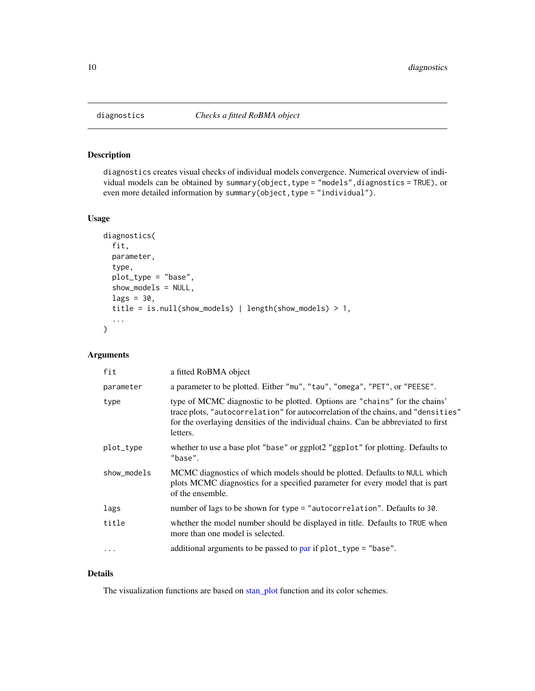<span id="page-9-1"></span><span id="page-9-0"></span>

## Description

diagnostics creates visual checks of individual models convergence. Numerical overview of individual models can be obtained by summary(object,type = "models",diagnostics = TRUE), or even more detailed information by summary(object, type = "individual").

#### Usage

```
diagnostics(
  fit,
 parameter,
  type,
  plot_type = "base",
  show_models = NULL,
  lags = 30,title = is.null(show_models) | length(show_models) > 1,
  ...
)
```
## Arguments

| fit         | a fitted RoBMA object                                                                                                                                                                                                                                              |
|-------------|--------------------------------------------------------------------------------------------------------------------------------------------------------------------------------------------------------------------------------------------------------------------|
| parameter   | a parameter to be plotted. Either "mu", "tau", "omega", "PET", or "PEESE".                                                                                                                                                                                         |
| type        | type of MCMC diagnostic to be plotted. Options are "chains" for the chains'<br>trace plots, "autocorrelation" for autocorrelation of the chains, and "densities"<br>for the overlaying densities of the individual chains. Can be abbreviated to first<br>letters. |
| plot_type   | whether to use a base plot "base" or ggplot2 "ggplot" for plotting. Defaults to<br>"base".                                                                                                                                                                         |
| show_models | MCMC diagnostics of which models should be plotted. Defaults to NULL which<br>plots MCMC diagnostics for a specified parameter for every model that is part<br>of the ensemble.                                                                                    |
| lags        | number of lags to be shown for type = "autocorrelation". Defaults to 30.                                                                                                                                                                                           |
| title       | whether the model number should be displayed in title. Defaults to TRUE when<br>more than one model is selected.                                                                                                                                                   |
| $\cdots$    | additional arguments to be passed to par if $plot_type = "base".$                                                                                                                                                                                                  |
|             |                                                                                                                                                                                                                                                                    |

## Details

The visualization functions are based on [stan\\_plot](#page-0-0) function and its color schemes.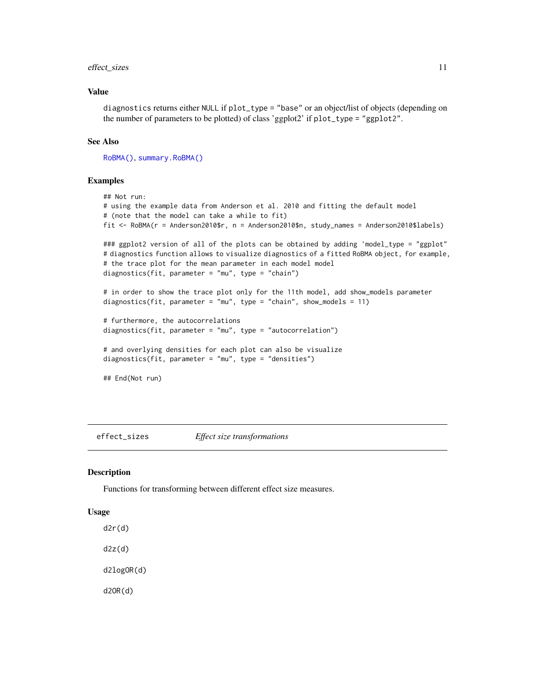## <span id="page-10-0"></span>effect\_sizes 11

## Value

diagnostics returns either NULL if plot\_type = "base" or an object/list of objects (depending on the number of parameters to be plotted) of class 'ggplot2' if plot\_type = "ggplot2".

#### See Also

[RoBMA\(\)](#page-27-1), [summary.RoBMA\(\)](#page-37-1)

#### Examples

```
## Not run:
# using the example data from Anderson et al. 2010 and fitting the default model
# (note that the model can take a while to fit)
fit <- RoBMA(r = Anderson2010$r, n = Anderson2010$n, study_names = Anderson2010$labels)
### ggplot2 version of all of the plots can be obtained by adding 'model_type = "ggplot"
# diagnostics function allows to visualize diagnostics of a fitted RoBMA object, for example,
# the trace plot for the mean parameter in each model model
diagnostics(fit, parameter = "mu", type = "chain")
# in order to show the trace plot only for the 11th model, add show_models parameter
diagnostics(fit, parameter = "mu", type = "chain", show_models = 11)
# furthermore, the autocorrelations
diagnostics(fit, parameter = "mu", type = "autocorrelation")
# and overlying densities for each plot can also be visualize
diagnostics(fit, parameter = "mu", type = "densities")
## End(Not run)
```
<span id="page-10-1"></span>effect\_sizes *Effect size transformations*

#### Description

Functions for transforming between different effect size measures.

#### Usage

d2r(d)

d2z(d)

d2logOR(d)

d2OR(d)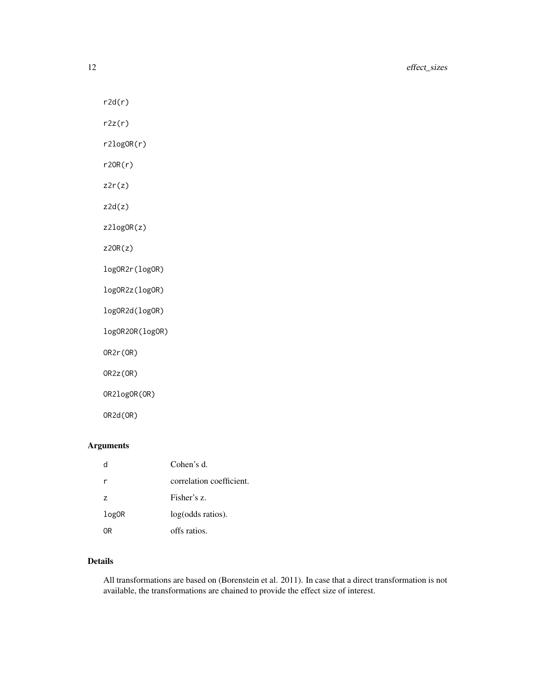$r2d(r)$ 

 $r2z(r)$ 

r2logOR(r)

r2OR(r)

z2r(z)

 $z2d(z)$ 

z2logOR(z)

z2OR(z)

logOR2r(logOR)

logOR2z(logOR)

logOR2d(logOR)

logOR2OR(logOR)

OR2r(OR)

OR2z(OR)

OR2logOR(OR)

OR2d(OR)

## Arguments

|                | Cohen's d.               |
|----------------|--------------------------|
| r              | correlation coefficient. |
| $\overline{z}$ | Fisher's z.              |
| log0R          | log(odds ratios).        |
| ٦R             | offs ratios.             |

## Details

All transformations are based on (Borenstein et al. 2011). In case that a direct transformation is not available, the transformations are chained to provide the effect size of interest.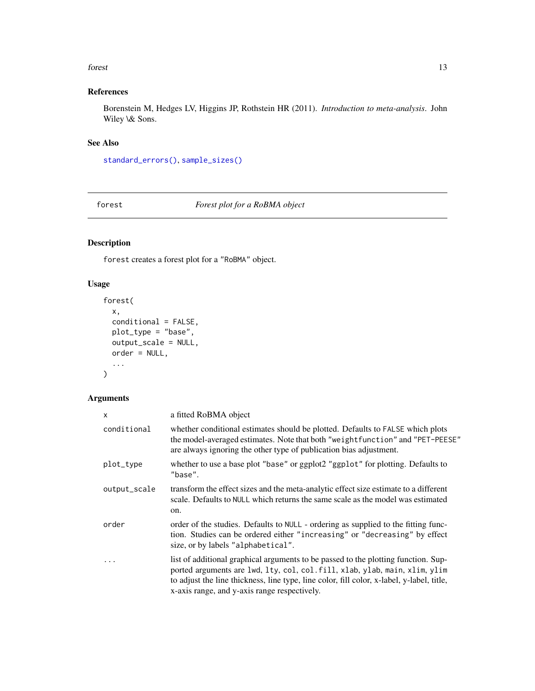#### <span id="page-12-0"></span>forest that the contract of the contract of the contract of the contract of the contract of the contract of the contract of the contract of the contract of the contract of the contract of the contract of the contract of th

## References

Borenstein M, Hedges LV, Higgins JP, Rothstein HR (2011). *Introduction to meta-analysis*. John Wiley \& Sons.

## See Also

[standard\\_errors\(\)](#page-36-1), [sample\\_sizes\(\)](#page-35-1)

forest *Forest plot for a RoBMA object*

## Description

forest creates a forest plot for a "RoBMA" object.

## Usage

```
forest(
 x,
  conditional = FALSE,
 plot_type = "base",
 output_scale = NULL,
 order = NULL,
  ...
)
```

| x            | a fitted RoBMA object                                                                                                                                                                                                                                                                                          |
|--------------|----------------------------------------------------------------------------------------------------------------------------------------------------------------------------------------------------------------------------------------------------------------------------------------------------------------|
| conditional  | whether conditional estimates should be plotted. Defaults to FALSE which plots<br>the model-averaged estimates. Note that both "weight function" and "PET-PEESE"<br>are always ignoring the other type of publication bias adjustment.                                                                         |
| plot_type    | whether to use a base plot "base" or ggplot2 "ggplot" for plotting. Defaults to<br>"base".                                                                                                                                                                                                                     |
| output_scale | transform the effect sizes and the meta-analytic effect size estimate to a different<br>scale. Defaults to NULL which returns the same scale as the model was estimated<br>on.                                                                                                                                 |
| order        | order of the studies. Defaults to NULL - ordering as supplied to the fitting func-<br>tion. Studies can be ordered either "increasing" or "decreasing" by effect<br>size, or by labels "alphabetical".                                                                                                         |
| $\cdot$      | list of additional graphical arguments to be passed to the plotting function. Sup-<br>ported arguments are lwd, lty, col, col. fill, xlab, ylab, main, xlim, ylim<br>to adjust the line thickness, line type, line color, fill color, x-label, y-label, title,<br>x-axis range, and y-axis range respectively. |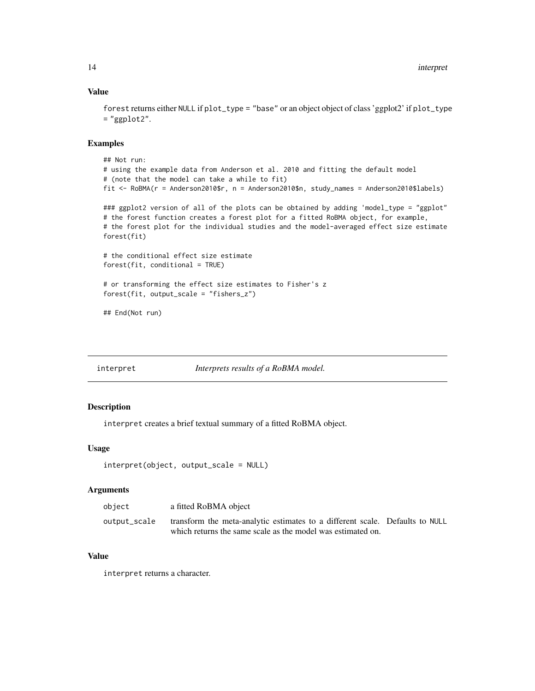## Value

```
forest returns either NULL if plot_type = "base" or an object object of class 'ggplot2' if plot_type
= "ggplot2".
```
## Examples

```
## Not run:
# using the example data from Anderson et al. 2010 and fitting the default model
# (note that the model can take a while to fit)
fit <- RoBMA(r = Anderson2010$r, n = Anderson2010$n, study_names = Anderson2010$labels)
### ggplot2 version of all of the plots can be obtained by adding 'model_type = "ggplot"
# the forest function creates a forest plot for a fitted RoBMA object, for example,
# the forest plot for the individual studies and the model-averaged effect size estimate
forest(fit)
# the conditional effect size estimate
forest(fit, conditional = TRUE)
# or transforming the effect size estimates to Fisher's z
forest(fit, output_scale = "fishers_z")
## End(Not run)
```
interpret *Interprets results of a RoBMA model.*

## Description

interpret creates a brief textual summary of a fitted RoBMA object.

## Usage

```
interpret(object, output_scale = NULL)
```
## Arguments

| object       | a fitted RoBMA object                                                        |  |
|--------------|------------------------------------------------------------------------------|--|
| output_scale | transform the meta-analytic estimates to a different scale. Defaults to NULL |  |
|              | which returns the same scale as the model was estimated on.                  |  |

## Value

interpret returns a character.

<span id="page-13-0"></span>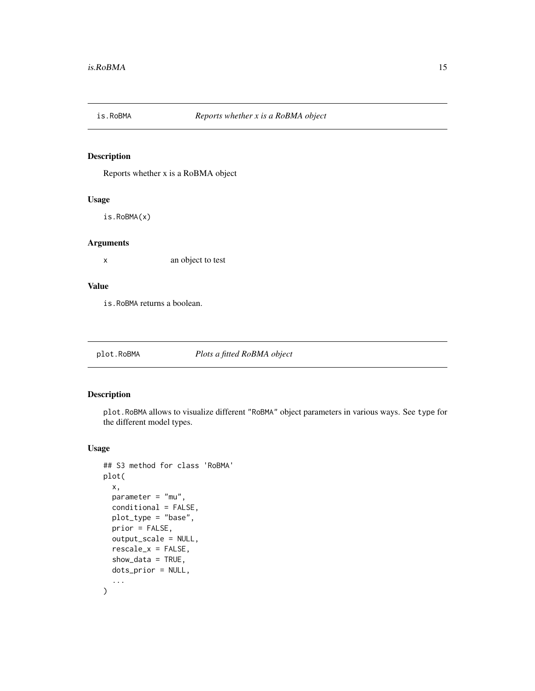<span id="page-14-0"></span>

## Description

Reports whether x is a RoBMA object

#### Usage

is.RoBMA(x)

## Arguments

x an object to test

## Value

is.RoBMA returns a boolean.

<span id="page-14-1"></span>plot.RoBMA *Plots a fitted RoBMA object*

## Description

plot.RoBMA allows to visualize different "RoBMA" object parameters in various ways. See type for the different model types.

#### Usage

```
## S3 method for class 'RoBMA'
plot(
 x,
 parameter = "mu",
 conditional = FALSE,
 plot_type = "base",
 prior = FALSE,
  output_scale = NULL,
  rescale_x = FALSE,
  show_data = TRUE,
 dots_prior = NULL,
  ...
\mathcal{E}
```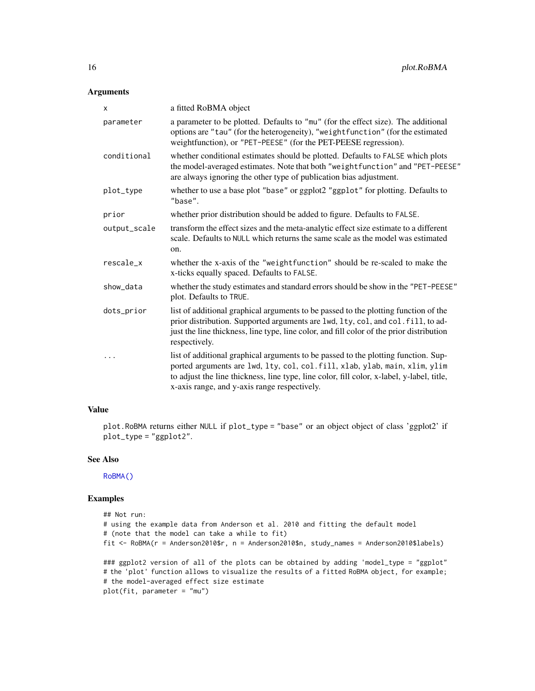## <span id="page-15-0"></span>Arguments

| x            | a fitted RoBMA object                                                                                                                                                                                                                                                                                          |
|--------------|----------------------------------------------------------------------------------------------------------------------------------------------------------------------------------------------------------------------------------------------------------------------------------------------------------------|
| parameter    | a parameter to be plotted. Defaults to "mu" (for the effect size). The additional<br>options are "tau" (for the heterogeneity), "weightfunction" (for the estimated<br>weightfunction), or "PET-PEESE" (for the PET-PEESE regression).                                                                         |
| conditional  | whether conditional estimates should be plotted. Defaults to FALSE which plots<br>the model-averaged estimates. Note that both "weightfunction" and "PET-PEESE"<br>are always ignoring the other type of publication bias adjustment.                                                                          |
| plot_type    | whether to use a base plot "base" or ggplot2 "ggplot" for plotting. Defaults to<br>"base".                                                                                                                                                                                                                     |
| prior        | whether prior distribution should be added to figure. Defaults to FALSE.                                                                                                                                                                                                                                       |
| output_scale | transform the effect sizes and the meta-analytic effect size estimate to a different<br>scale. Defaults to NULL which returns the same scale as the model was estimated<br>on.                                                                                                                                 |
| rescale_x    | whether the x-axis of the "weightfunction" should be re-scaled to make the<br>x-ticks equally spaced. Defaults to FALSE.                                                                                                                                                                                       |
| show_data    | whether the study estimates and standard errors should be show in the "PET-PEESE"<br>plot. Defaults to TRUE.                                                                                                                                                                                                   |
| dots_prior   | list of additional graphical arguments to be passed to the plotting function of the<br>prior distribution. Supported arguments are lwd, lty, col, and col. fill, to ad-<br>just the line thickness, line type, line color, and fill color of the prior distribution<br>respectively.                           |
| .            | list of additional graphical arguments to be passed to the plotting function. Sup-<br>ported arguments are lwd, lty, col, col. fill, xlab, ylab, main, xlim, ylim<br>to adjust the line thickness, line type, line color, fill color, x-label, y-label, title,<br>x-axis range, and y-axis range respectively. |

## Value

plot.RoBMA returns either NULL if plot\_type = "base" or an object object of class 'ggplot2' if plot\_type = "ggplot2".

## See Also

[RoBMA\(\)](#page-27-1)

## Examples

```
## Not run:
# using the example data from Anderson et al. 2010 and fitting the default model
# (note that the model can take a while to fit)
fit <- RoBMA(r = Anderson2010$r, n = Anderson2010$n, study_names = Anderson2010$labels)
### ggplot2 version of all of the plots can be obtained by adding 'model_type = "ggplot"
# the 'plot' function allows to visualize the results of a fitted RoBMA object, for example;
# the model-averaged effect size estimate
plot(fit, parameter = "mu")
```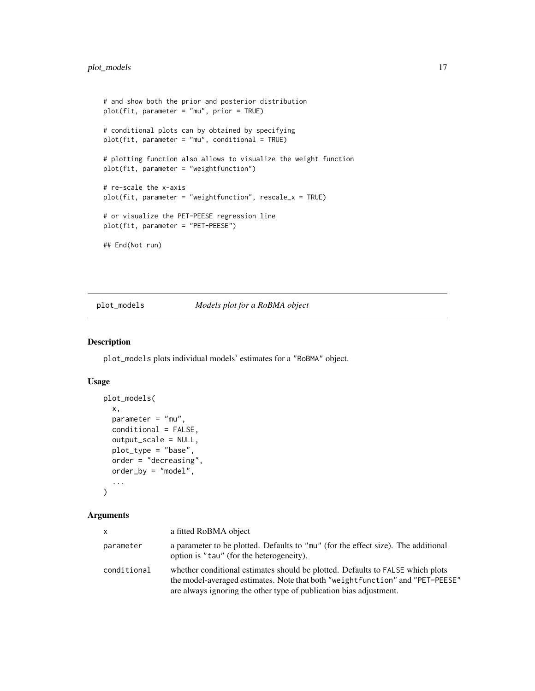```
# and show both the prior and posterior distribution
plot(fit, parameter = "mu", prior = TRUE)
# conditional plots can by obtained by specifying
plot(fit, parameter = "mu", conditional = TRUE)
# plotting function also allows to visualize the weight function
plot(fit, parameter = "weightfunction")
# re-scale the x-axis
plot(fit, parameter = "weightfunction", rescale_x = TRUE)
# or visualize the PET-PEESE regression line
plot(fit, parameter = "PET-PEESE")
## End(Not run)
```
#### plot\_models *Models plot for a RoBMA object*

#### Description

plot\_models plots individual models' estimates for a "RoBMA" object.

#### Usage

```
plot_models(
 x,
 parameter = "mu",
 conditional = FALSE,
  output_scale = NULL,
 plot_type = "base",
  order = "decreasing",
 order_by = "model",...
\mathcal{L}
```

| $\mathsf{x}$ | a fitted RoBMA object                                                                                                                                                                                                                  |
|--------------|----------------------------------------------------------------------------------------------------------------------------------------------------------------------------------------------------------------------------------------|
| parameter    | a parameter to be plotted. Defaults to "mu" (for the effect size). The additional<br>option is "tau" (for the heterogeneity).                                                                                                          |
| conditional  | whether conditional estimates should be plotted. Defaults to FALSE which plots<br>the model-averaged estimates. Note that both "weight function" and "PET-PEESE"<br>are always ignoring the other type of publication bias adjustment. |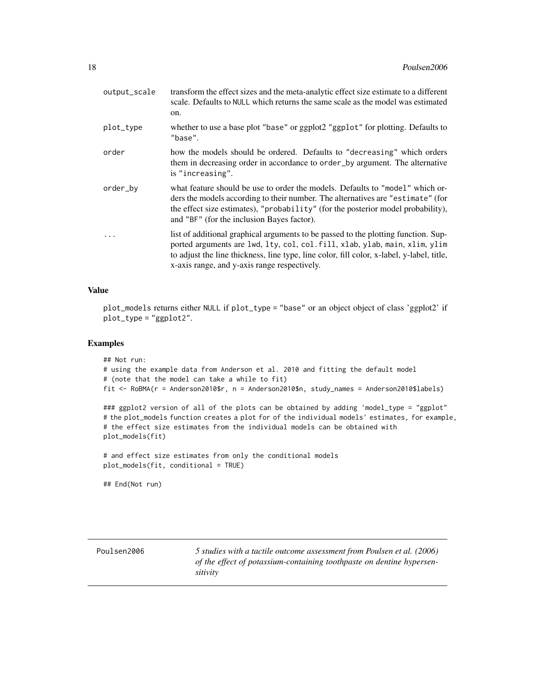<span id="page-17-0"></span>

| output_scale | transform the effect sizes and the meta-analytic effect size estimate to a different<br>scale. Defaults to NULL which returns the same scale as the model was estimated<br>on.                                                                                                                                 |
|--------------|----------------------------------------------------------------------------------------------------------------------------------------------------------------------------------------------------------------------------------------------------------------------------------------------------------------|
| plot_type    | whether to use a base plot "base" or ggplot2 "ggplot" for plotting. Defaults to<br>"base".                                                                                                                                                                                                                     |
| order        | how the models should be ordered. Defaults to "decreasing" which orders<br>them in decreasing order in accordance to order_by argument. The alternative<br>is "increasing".                                                                                                                                    |
| order_by     | what feature should be use to order the models. Defaults to "model" which or-<br>ders the models according to their number. The alternatives are "estimate" (for<br>the effect size estimates), "probability" (for the posterior model probability),<br>and "BF" (for the inclusion Bayes factor).             |
|              | list of additional graphical arguments to be passed to the plotting function. Sup-<br>ported arguments are lwd, lty, col, col. fill, xlab, ylab, main, xlim, ylim<br>to adjust the line thickness, line type, line color, fill color, x-label, y-label, title,<br>x-axis range, and y-axis range respectively. |

#### Value

plot\_models returns either NULL if plot\_type = "base" or an object object of class 'ggplot2' if plot\_type = "ggplot2".

#### Examples

```
## Not run:
# using the example data from Anderson et al. 2010 and fitting the default model
# (note that the model can take a while to fit)
fit <- RoBMA(r = Anderson2010$r, n = Anderson2010$n, study_names = Anderson2010$labels)
### ggplot2 version of all of the plots can be obtained by adding 'model_type = "ggplot"
# the plot_models function creates a plot for of the individual models' estimates, for example,
```

```
# the effect size estimates from the individual models can be obtained with
plot_models(fit)
```

```
# and effect size estimates from only the conditional models
plot_models(fit, conditional = TRUE)
```
## End(Not run)

Poulsen2006 *5 studies with a tactile outcome assessment from Poulsen et al. (2006) of the effect of potassium-containing toothpaste on dentine hypersensitivity*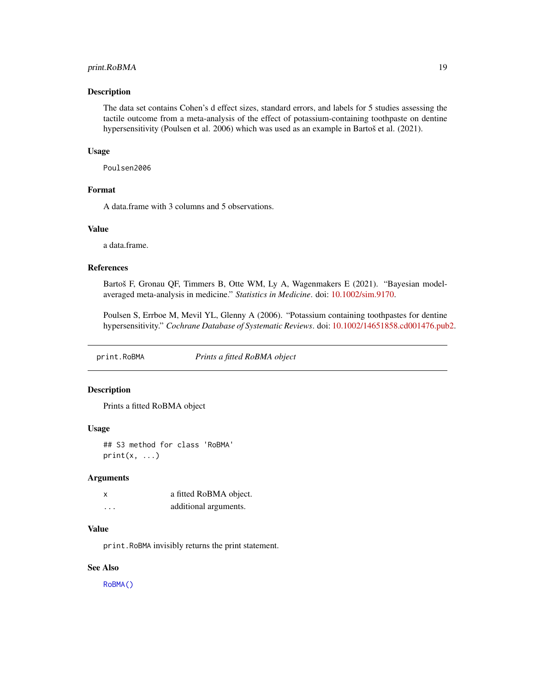## <span id="page-18-0"></span>print.RoBMA 19

#### Description

The data set contains Cohen's d effect sizes, standard errors, and labels for 5 studies assessing the tactile outcome from a meta-analysis of the effect of potassium-containing toothpaste on dentine hypersensitivity (Poulsen et al. 2006) which was used as an example in Bartoš et al. (2021).

#### Usage

Poulsen2006

## Format

A data.frame with 3 columns and 5 observations.

## Value

a data.frame.

#### References

Bartoš F, Gronau QF, Timmers B, Otte WM, Ly A, Wagenmakers E (2021). "Bayesian modelaveraged meta-analysis in medicine." *Statistics in Medicine*. doi: [10.1002/sim.9170.](https://doi.org/10.1002/sim.9170)

Poulsen S, Errboe M, Mevil YL, Glenny A (2006). "Potassium containing toothpastes for dentine hypersensitivity." *Cochrane Database of Systematic Reviews*. doi: [10.1002/14651858.cd001476.pub2.](https://doi.org/10.1002/14651858.cd001476.pub2)

<span id="page-18-1"></span>print.RoBMA *Prints a fitted RoBMA object*

#### Description

Prints a fitted RoBMA object

#### Usage

## S3 method for class 'RoBMA'  $print(x, \ldots)$ 

#### Arguments

| $\times$ | a fitted RoBMA object. |
|----------|------------------------|
| .        | additional arguments.  |

#### Value

print.RoBMA invisibly returns the print statement.

## See Also

[RoBMA\(\)](#page-27-1)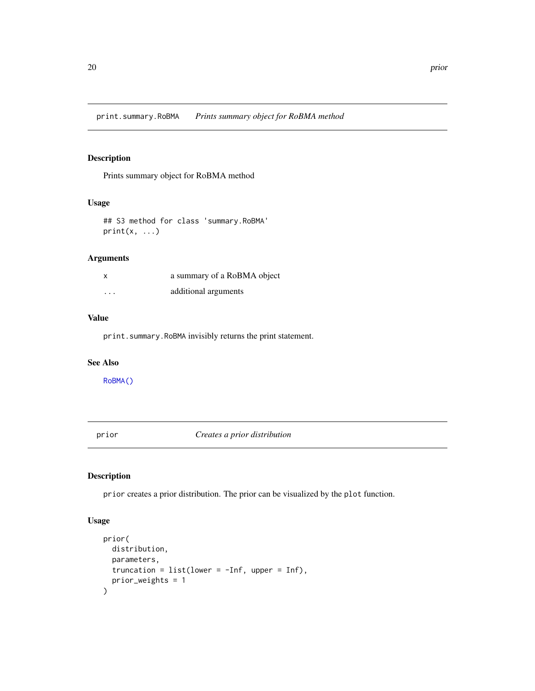<span id="page-19-0"></span>print.summary.RoBMA *Prints summary object for RoBMA method*

## Description

Prints summary object for RoBMA method

## Usage

```
## S3 method for class 'summary.RoBMA'
print(x, \ldots)
```
## Arguments

| X        | a summary of a RoBMA object |
|----------|-----------------------------|
| $\cdots$ | additional arguments        |

## Value

print.summary.RoBMA invisibly returns the print statement.

#### See Also

[RoBMA\(\)](#page-27-1)

<span id="page-19-1"></span>prior *Creates a prior distribution*

## Description

prior creates a prior distribution. The prior can be visualized by the plot function.

## Usage

```
prior(
  distribution,
  parameters,
  truncation = list(lower = -Inf, upper = Inf),prior_weights = 1
\mathcal{E}
```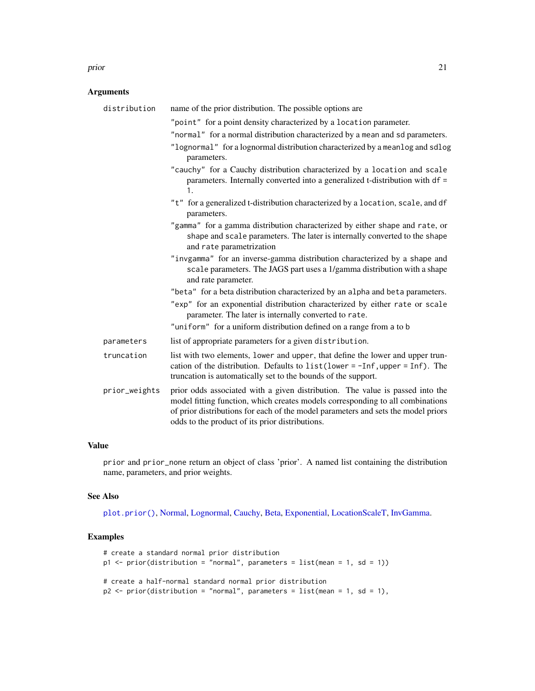#### <span id="page-20-0"></span>prior that the contract of the contract of the contract of the contract of the contract of the contract of the contract of the contract of the contract of the contract of the contract of the contract of the contract of the

## Arguments

| distribution  | name of the prior distribution. The possible options are                                                                                                                                                                                                                                                |
|---------------|---------------------------------------------------------------------------------------------------------------------------------------------------------------------------------------------------------------------------------------------------------------------------------------------------------|
|               | "point" for a point density characterized by a location parameter.<br>"normal" for a normal distribution characterized by a mean and sd parameters.                                                                                                                                                     |
|               | "lognormal" for a lognormal distribution characterized by a meanlog and sdlog<br>parameters.                                                                                                                                                                                                            |
|               | "cauchy" for a Cauchy distribution characterized by a location and scale<br>parameters. Internally converted into a generalized t-distribution with df =<br>1.                                                                                                                                          |
|               | "t" for a generalized t-distribution characterized by a location, scale, and df<br>parameters.                                                                                                                                                                                                          |
|               | "gamma" for a gamma distribution characterized by either shape and rate, or<br>shape and scale parameters. The later is internally converted to the shape<br>and rate parametrization                                                                                                                   |
|               | "invgamma" for an inverse-gamma distribution characterized by a shape and<br>scale parameters. The JAGS part uses a 1/gamma distribution with a shape<br>and rate parameter.                                                                                                                            |
|               | "beta" for a beta distribution characterized by an alpha and beta parameters.                                                                                                                                                                                                                           |
|               | "exp" for an exponential distribution characterized by either rate or scale<br>parameter. The later is internally converted to rate.                                                                                                                                                                    |
|               | "uniform" for a uniform distribution defined on a range from a to b                                                                                                                                                                                                                                     |
| parameters    | list of appropriate parameters for a given distribution.                                                                                                                                                                                                                                                |
| truncation    | list with two elements, lower and upper, that define the lower and upper trun-<br>cation of the distribution. Defaults to $list(lower = -Inf, upper = Inf)$ . The<br>truncation is automatically set to the bounds of the support.                                                                      |
| prior_weights | prior odds associated with a given distribution. The value is passed into the<br>model fitting function, which creates models corresponding to all combinations<br>of prior distributions for each of the model parameters and sets the model priors<br>odds to the product of its prior distributions. |

## Value

prior and prior\_none return an object of class 'prior'. A named list containing the distribution name, parameters, and prior weights.

#### See Also

[plot.prior\(\)](#page-0-0), [Normal,](#page-0-0) [Lognormal,](#page-0-0) [Cauchy,](#page-0-0) [Beta,](#page-0-0) [Exponential,](#page-0-0) [LocationScaleT,](#page-0-0) [InvGamma.](#page-0-0)

## Examples

```
# create a standard normal prior distribution
p1 \leq-prior(distribution = "normal", parameters = list(mean = 1, sd = 1))# create a half-normal standard normal prior distribution
p2 \le- prior(distribution = "normal", parameters = list(mean = 1, sd = 1),
```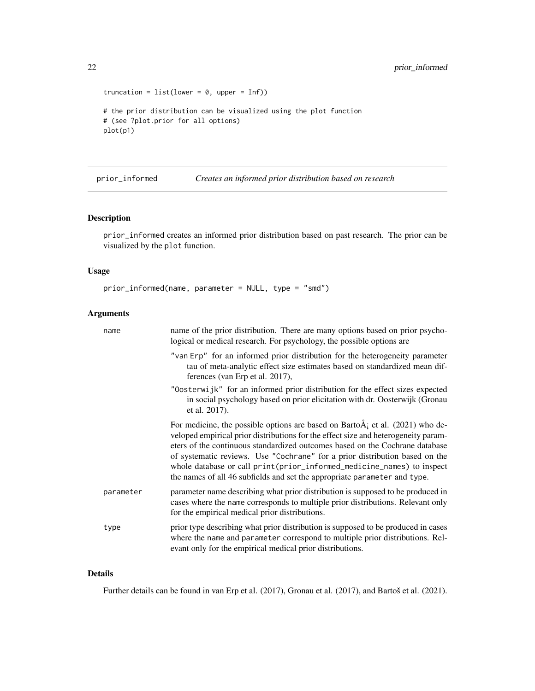```
truncation = list(lower = 0, upper = Inf))# the prior distribution can be visualized using the plot function
# (see ?plot.prior for all options)
plot(p1)
```
prior\_informed *Creates an informed prior distribution based on research*

## Description

prior\_informed creates an informed prior distribution based on past research. The prior can be visualized by the plot function.

#### Usage

prior\_informed(name, parameter = NULL, type = "smd")

## Arguments

| name      | name of the prior distribution. There are many options based on prior psycho-<br>logical or medical research. For psychology, the possible options are                                                                                                                                                                                                                                                                                                                                          |
|-----------|-------------------------------------------------------------------------------------------------------------------------------------------------------------------------------------------------------------------------------------------------------------------------------------------------------------------------------------------------------------------------------------------------------------------------------------------------------------------------------------------------|
|           | "van Erp" for an informed prior distribution for the heterogeneity parameter<br>tau of meta-analytic effect size estimates based on standardized mean dif-<br>ferences (van Erp et al. 2017),                                                                                                                                                                                                                                                                                                   |
|           | "Oosterwijk" for an informed prior distribution for the effect sizes expected<br>in social psychology based on prior elicitation with dr. Oosterwijk (Gronau<br>et al. 2017).                                                                                                                                                                                                                                                                                                                   |
|           | For medicine, the possible options are based on Barto $\AA$ ; et al. (2021) who de-<br>veloped empirical prior distributions for the effect size and heterogeneity param-<br>eters of the continuous standardized outcomes based on the Cochrane database<br>of systematic reviews. Use "Cochrane" for a prior distribution based on the<br>whole database or call print(prior_informed_medicine_names) to inspect<br>the names of all 46 subfields and set the appropriate parameter and type. |
| parameter | parameter name describing what prior distribution is supposed to be produced in<br>cases where the name corresponds to multiple prior distributions. Relevant only<br>for the empirical medical prior distributions.                                                                                                                                                                                                                                                                            |
| type      | prior type describing what prior distribution is supposed to be produced in cases<br>where the name and parameter correspond to multiple prior distributions. Rel-<br>evant only for the empirical medical prior distributions.                                                                                                                                                                                                                                                                 |

#### Details

Further details can be found in van Erp et al. (2017), Gronau et al. (2017), and Bartoš et al. (2021).

<span id="page-21-0"></span>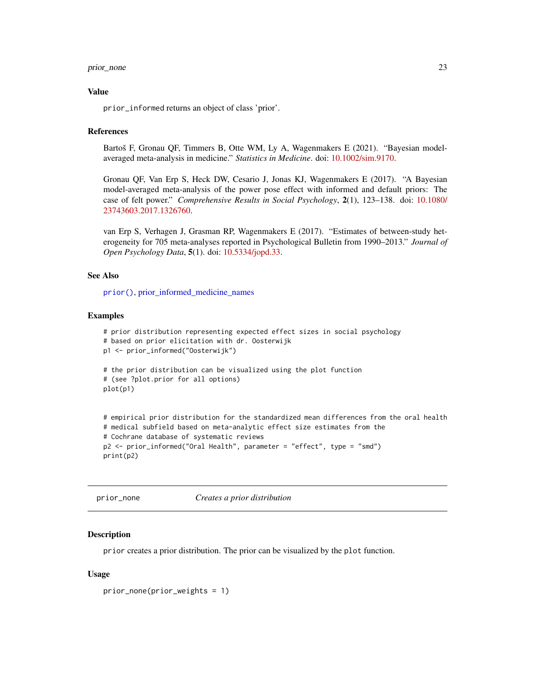#### <span id="page-22-0"></span>prior\_none 23

#### Value

prior\_informed returns an object of class 'prior'.

#### References

Bartoš F, Gronau QF, Timmers B, Otte WM, Ly A, Wagenmakers E (2021). "Bayesian modelaveraged meta-analysis in medicine." *Statistics in Medicine*. doi: [10.1002/sim.9170.](https://doi.org/10.1002/sim.9170)

Gronau QF, Van Erp S, Heck DW, Cesario J, Jonas KJ, Wagenmakers E (2017). "A Bayesian model-averaged meta-analysis of the power pose effect with informed and default priors: The case of felt power." *Comprehensive Results in Social Psychology*, 2(1), 123–138. doi: [10.1080/](https://doi.org/10.1080/23743603.2017.1326760) [23743603.2017.1326760.](https://doi.org/10.1080/23743603.2017.1326760)

van Erp S, Verhagen J, Grasman RP, Wagenmakers E (2017). "Estimates of between-study heterogeneity for 705 meta-analyses reported in Psychological Bulletin from 1990–2013." *Journal of Open Psychology Data*, 5(1). doi: [10.5334/jopd.33.](https://doi.org/10.5334/jopd.33)

#### See Also

[prior\(\)](#page-0-0), [prior\\_informed\\_medicine\\_names](#page-0-0)

## Examples

```
# prior distribution representing expected effect sizes in social psychology
# based on prior elicitation with dr. Oosterwijk
p1 <- prior_informed("Oosterwijk")
# the prior distribution can be visualized using the plot function
# (see ?plot.prior for all options)
plot(p1)
# empirical prior distribution for the standardized mean differences from the oral health
# medical subfield based on meta-analytic effect size estimates from the
# Cochrane database of systematic reviews
p2 <- prior_informed("Oral Health", parameter = "effect", type = "smd")
print(p2)
```
prior\_none *Creates a prior distribution*

#### **Description**

prior creates a prior distribution. The prior can be visualized by the plot function.

#### Usage

prior\_none(prior\_weights = 1)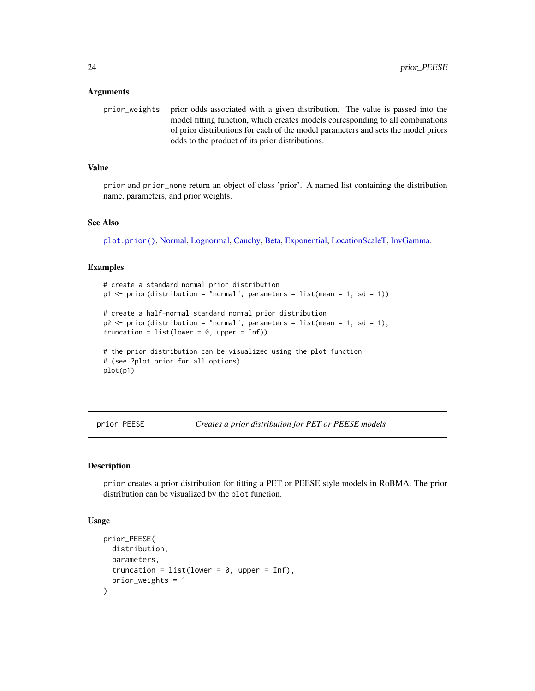#### <span id="page-23-0"></span>Arguments

prior\_weights prior odds associated with a given distribution. The value is passed into the model fitting function, which creates models corresponding to all combinations of prior distributions for each of the model parameters and sets the model priors odds to the product of its prior distributions.

#### Value

prior and prior\_none return an object of class 'prior'. A named list containing the distribution name, parameters, and prior weights.

#### See Also

[plot.prior\(\)](#page-0-0), [Normal,](#page-0-0) [Lognormal,](#page-0-0) [Cauchy,](#page-0-0) [Beta,](#page-0-0) [Exponential,](#page-0-0) [LocationScaleT,](#page-0-0) [InvGamma.](#page-0-0)

#### Examples

```
# create a standard normal prior distribution
p1 \leq - \text{prior}(distribution = "normal", parameters = list(mean = 1, sd = 1))# create a half-normal standard normal prior distribution
p2 \le- prior(distribution = "normal", parameters = list(mean = 1, sd = 1),
truncation = list(lower = 0, upper = Inf))# the prior distribution can be visualized using the plot function
# (see ?plot.prior for all options)
plot(p1)
```
<span id="page-23-1"></span>prior\_PEESE *Creates a prior distribution for PET or PEESE models*

## Description

prior creates a prior distribution for fitting a PET or PEESE style models in RoBMA. The prior distribution can be visualized by the plot function.

#### Usage

```
prior_PEESE(
 distribution,
 parameters,
  truncation = list(lower = 0, upper = Inf),
  prior_weights = 1
)
```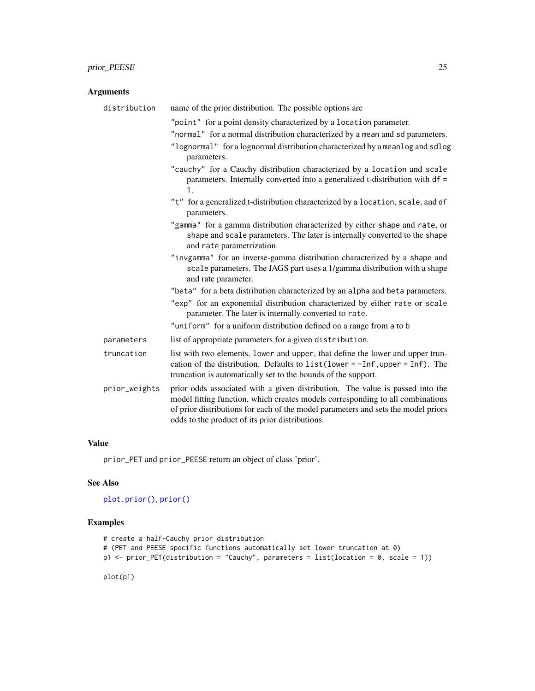## <span id="page-24-0"></span>prior\_PEESE 25

## Arguments

| distribution  | name of the prior distribution. The possible options are                                                                                                                                                                                                                                                |
|---------------|---------------------------------------------------------------------------------------------------------------------------------------------------------------------------------------------------------------------------------------------------------------------------------------------------------|
|               | "point" for a point density characterized by a location parameter.<br>"normal" for a normal distribution characterized by a mean and sd parameters.<br>"lognormal" for a lognormal distribution characterized by a meanlog and sdlog                                                                    |
|               | parameters.<br>"cauchy" for a Cauchy distribution characterized by a location and scale<br>parameters. Internally converted into a generalized t-distribution with df =<br>1.                                                                                                                           |
|               | "t" for a generalized t-distribution characterized by a location, scale, and df<br>parameters.                                                                                                                                                                                                          |
|               | "gamma" for a gamma distribution characterized by either shape and rate, or<br>shape and scale parameters. The later is internally converted to the shape<br>and rate parametrization                                                                                                                   |
|               | "invgamma" for an inverse-gamma distribution characterized by a shape and<br>scale parameters. The JAGS part uses a 1/gamma distribution with a shape<br>and rate parameter.                                                                                                                            |
|               | "beta" for a beta distribution characterized by an alpha and beta parameters.<br>"exp" for an exponential distribution characterized by either rate or scale<br>parameter. The later is internally converted to rate.<br>"uniform" for a uniform distribution defined on a range from a to b            |
| parameters    | list of appropriate parameters for a given distribution.                                                                                                                                                                                                                                                |
| truncation    | list with two elements, lower and upper, that define the lower and upper trun-<br>cation of the distribution. Defaults to $list(lower = -Inf, upper = Inf)$ . The<br>truncation is automatically set to the bounds of the support.                                                                      |
| prior_weights | prior odds associated with a given distribution. The value is passed into the<br>model fitting function, which creates models corresponding to all combinations<br>of prior distributions for each of the model parameters and sets the model priors<br>odds to the product of its prior distributions. |

## Value

prior\_PET and prior\_PEESE return an object of class 'prior'.

## See Also

```
plot.prior(), prior()
```
## Examples

```
# create a half-Cauchy prior distribution
# (PET and PEESE specific functions automatically set lower truncation at 0)
p1 <- prior_PET(distribution = "Cauchy", parameters = list(location = 0, scale = 1))
```
plot(p1)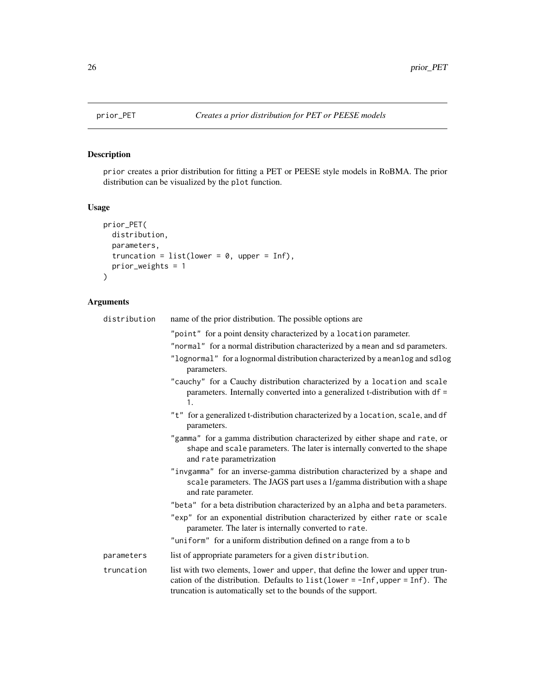<span id="page-25-1"></span><span id="page-25-0"></span>

## Description

prior creates a prior distribution for fitting a PET or PEESE style models in RoBMA. The prior distribution can be visualized by the plot function.

## Usage

```
prior_PET(
 distribution,
 parameters,
 truncation = list(lower = 0, upper = Inf),prior_weights = 1
)
```

| distribution | name of the prior distribution. The possible options are                                                                                                                                                                           |
|--------------|------------------------------------------------------------------------------------------------------------------------------------------------------------------------------------------------------------------------------------|
|              | "point" for a point density characterized by a location parameter.<br>"normal" for a normal distribution characterized by a mean and sd parameters.                                                                                |
|              | "lognormal" for a lognormal distribution characterized by a meanlog and sdlog<br>parameters.                                                                                                                                       |
|              | "cauchy" for a Cauchy distribution characterized by a location and scale<br>parameters. Internally converted into a generalized t-distribution with df =<br>1.                                                                     |
|              | "t" for a generalized t-distribution characterized by a location, scale, and df<br>parameters.                                                                                                                                     |
|              | "gamma" for a gamma distribution characterized by either shape and rate, or<br>shape and scale parameters. The later is internally converted to the shape<br>and rate parametrization                                              |
|              | "invgamma" for an inverse-gamma distribution characterized by a shape and<br>scale parameters. The JAGS part uses a 1/gamma distribution with a shape<br>and rate parameter.                                                       |
|              | "beta" for a beta distribution characterized by an alpha and beta parameters.                                                                                                                                                      |
|              | "exp" for an exponential distribution characterized by either rate or scale<br>parameter. The later is internally converted to rate.                                                                                               |
|              | "uniform" for a uniform distribution defined on a range from a to b                                                                                                                                                                |
| parameters   | list of appropriate parameters for a given distribution.                                                                                                                                                                           |
| truncation   | list with two elements, lower and upper, that define the lower and upper trun-<br>cation of the distribution. Defaults to $list(lower = -Inf, upper = Inf)$ . The<br>truncation is automatically set to the bounds of the support. |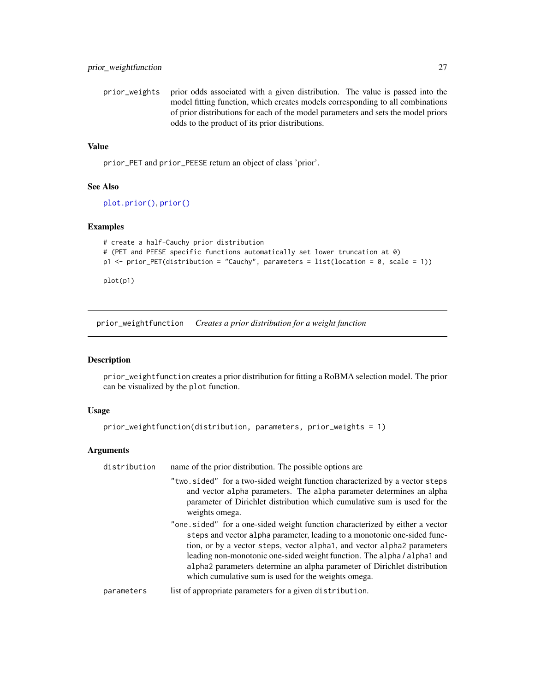<span id="page-26-0"></span>prior\_weights prior odds associated with a given distribution. The value is passed into the model fitting function, which creates models corresponding to all combinations of prior distributions for each of the model parameters and sets the model priors odds to the product of its prior distributions.

## Value

prior\_PET and prior\_PEESE return an object of class 'prior'.

## See Also

[plot.prior\(\)](#page-0-0), [prior\(\)](#page-0-0)

## Examples

```
# create a half-Cauchy prior distribution
# (PET and PEESE specific functions automatically set lower truncation at 0)
p1 <- prior_PET(distribution = "Cauchy", parameters = list(location = 0, scale = 1))
plot(p1)
```
<span id="page-26-1"></span>prior\_weightfunction *Creates a prior distribution for a weight function*

## Description

prior\_weightfunction creates a prior distribution for fitting a RoBMA selection model. The prior can be visualized by the plot function.

#### Usage

```
prior_weightfunction(distribution, parameters, prior_weights = 1)
```

| distribution | name of the prior distribution. The possible options are                                                                                                                                                                                                                                                                                                                                                                                          |
|--------------|---------------------------------------------------------------------------------------------------------------------------------------------------------------------------------------------------------------------------------------------------------------------------------------------------------------------------------------------------------------------------------------------------------------------------------------------------|
|              | "two.sided" for a two-sided weight function characterized by a vector steps<br>and vector alpha parameters. The alpha parameter determines an alpha<br>parameter of Dirichlet distribution which cumulative sum is used for the<br>weights omega.                                                                                                                                                                                                 |
|              | "one sided" for a one-sided weight function characterized by either a vector<br>steps and vector alpha parameter, leading to a monotonic one-sided func-<br>tion, or by a vector steps, vector alpha1, and vector alpha2 parameters<br>leading non-monotonic one-sided weight function. The alpha / alpha 1 and<br>alpha parameters determine an alpha parameter of Dirichlet distribution<br>which cumulative sum is used for the weights omega. |
| parameters   | list of appropriate parameters for a given distribution.                                                                                                                                                                                                                                                                                                                                                                                          |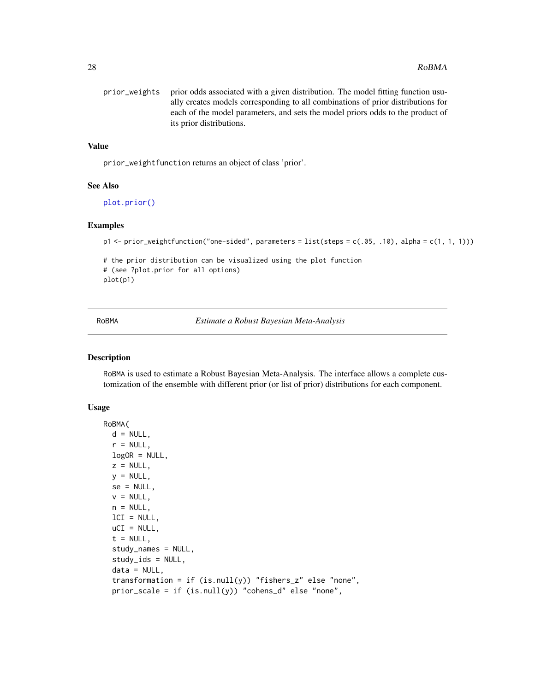<span id="page-27-0"></span>

| prior weights prior odds associated with a given distribution. The model fitting function usu- |
|------------------------------------------------------------------------------------------------|
| ally creates models corresponding to all combinations of prior distributions for               |
| each of the model parameters, and sets the model priors odds to the product of                 |
| its prior distributions.                                                                       |

## Value

prior\_weightfunction returns an object of class 'prior'.

#### See Also

[plot.prior\(\)](#page-0-0)

## Examples

```
p1 <- prior_weightfunction("one-sided", parameters = list(steps = c(.05, .10), alpha = c(1, 1, 1)))
```

```
# the prior distribution can be visualized using the plot function
# (see ?plot.prior for all options)
plot(p1)
```
<span id="page-27-1"></span>RoBMA *Estimate a Robust Bayesian Meta-Analysis*

## Description

RoBMA is used to estimate a Robust Bayesian Meta-Analysis. The interface allows a complete customization of the ensemble with different prior (or list of prior) distributions for each component.

#### Usage

```
RoBMA(
 d = NULL,r = NULL,logOR = NULL,z = NULL,y = NULL,se = NULL,v = NULL,n = NULL,lCI = NULL,uCI = NULL,t = NULL,
  study_names = NULL,
  study_ids = NULL,
  data = NULL,transformation = if (is.null(y)) "fishers_z" else "none",
  prior_scale = if (is.null(y)) "cohens_d" else "none",
```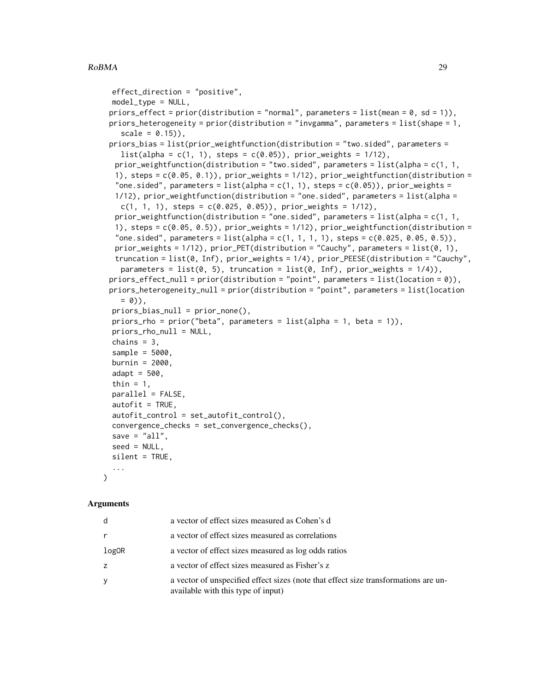```
effect_direction = "positive",
  model_type = NULL,
 priors_effect = prior(distribution = "normal", parameters = list(\text{mean} = 0, \text{ sd} = 1)),
 priors_heterogeneity = prior(distribution = "invgamma", parameters = list(shape = 1,
    scale = 0.15),
 priors_bias = list(prior_weightfunction(distribution = "two.sided", parameters =
    list(alpha = c(1, 1), steps = c(0.05)), prior_w eights = 1/12),prior_weightfunction(distribution = "two.sided", parameters = list(alpha = c(1, 1,
  1), steps = c(0.05, 0.1), prior_weights = 1/12), prior_weightfunction(distribution =
  "one.sided", parameters = list(alpha = c(1, 1), steps = c(0.05)), prior_weights =
  1/12), prior_weightfunction(distribution = "one.sided", parameters = list(alpha =
    c(1, 1, 1), steps = c(0.025, 0.05), prior_weights = 1/12),
  prior_weightfunction(distribution = "one.sided", parameters = list(alpha = c(1, 1,
  1), steps = c(0.05, 0.5), prior_weights = 1/12), prior_weightfunction(distribution =
  "one.sided", parameters = list(alpha = c(1, 1, 1, 1), steps = c(0.025, 0.05, 0.5)),
  prior_weights = 1/12), prior_PET(distribution = "Cauchy", parameters = list(0, 1),
  truncation = list(0, Inf), prior_weights = 1/4), prior_PEESE(distribution = "Cauchy",
    parameters = list(0, 5), truncation = list(0, Inf), prior_weights = 1/4)),
 priors_effect_null = prior(distribution = "point", parameters = list(location = \emptyset)),
 priors_heterogeneity_null = prior(distribution = "point", parameters = list(location
    = 0),
  priors_bias_null = prior_none(),
  priors_rho = prior("beta", parameters = list(alpha = 1, beta = 1)),
  priors_rho_null = NULL,
  chains = 3,
  sample = 5000,
  burnin = 2000,
  adapt = 500,thin = 1,parallel = FALSE,
  autofit = TRUE,autofit_control = set_autofit_control(),
  convergence_checks = set_convergence_checks(),
  save = "all",seed = NULL,silent = TRUE,
  ...
)
```

| d     | a vector of effect sizes measured as Cohen's d                                                                            |
|-------|---------------------------------------------------------------------------------------------------------------------------|
|       | a vector of effect sizes measured as correlations                                                                         |
| logOR | a vector of effect sizes measured as log odds ratios                                                                      |
| z     | a vector of effect sizes measured as Fisher's z                                                                           |
|       | a vector of unspecified effect sizes (note that effect size transformations are un-<br>available with this type of input) |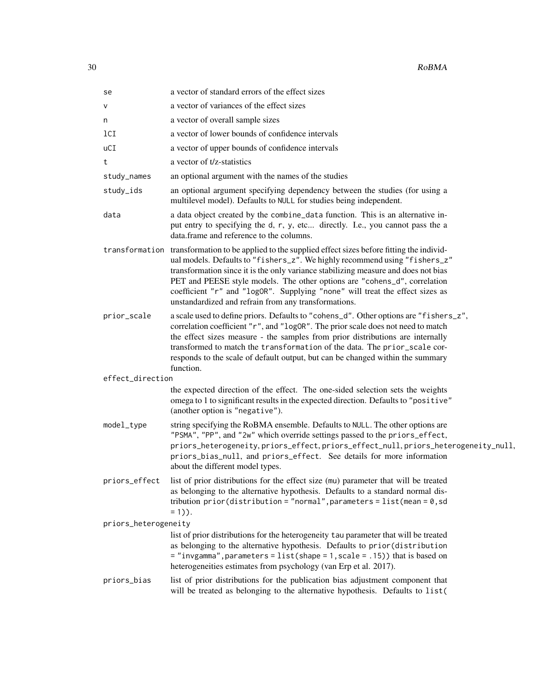| se                   | a vector of standard errors of the effect sizes                                                                                                                                                                                                                                                                                                                                                                                                                                |
|----------------------|--------------------------------------------------------------------------------------------------------------------------------------------------------------------------------------------------------------------------------------------------------------------------------------------------------------------------------------------------------------------------------------------------------------------------------------------------------------------------------|
| v                    | a vector of variances of the effect sizes                                                                                                                                                                                                                                                                                                                                                                                                                                      |
| n                    | a vector of overall sample sizes                                                                                                                                                                                                                                                                                                                                                                                                                                               |
| 1 <sub>CI</sub>      | a vector of lower bounds of confidence intervals                                                                                                                                                                                                                                                                                                                                                                                                                               |
| uCI                  | a vector of upper bounds of confidence intervals                                                                                                                                                                                                                                                                                                                                                                                                                               |
| t                    | a vector of t/z-statistics                                                                                                                                                                                                                                                                                                                                                                                                                                                     |
| study_names          | an optional argument with the names of the studies                                                                                                                                                                                                                                                                                                                                                                                                                             |
| study_ids            | an optional argument specifying dependency between the studies (for using a<br>multilevel model). Defaults to NULL for studies being independent.                                                                                                                                                                                                                                                                                                                              |
| data                 | a data object created by the combine_data function. This is an alternative in-<br>put entry to specifying the d, r, y, etc directly. I.e., you cannot pass the a<br>data.frame and reference to the columns.                                                                                                                                                                                                                                                                   |
| transformation       | transformation to be applied to the supplied effect sizes before fitting the individ-<br>ual models. Defaults to "fishers_z". We highly recommend using "fishers_z"<br>transformation since it is the only variance stabilizing measure and does not bias<br>PET and PEESE style models. The other options are "cohens_d", correlation<br>coefficient "r" and "logOR". Supplying "none" will treat the effect sizes as<br>unstandardized and refrain from any transformations. |
| prior_scale          | a scale used to define priors. Defaults to "cohens_d". Other options are "fishers_z",<br>correlation coefficient "r", and "logOR". The prior scale does not need to match<br>the effect sizes measure - the samples from prior distributions are internally<br>transformed to match the transformation of the data. The prior_scale cor-<br>responds to the scale of default output, but can be changed within the summary<br>function.                                        |
| effect_direction     |                                                                                                                                                                                                                                                                                                                                                                                                                                                                                |
|                      | the expected direction of the effect. The one-sided selection sets the weights<br>omega to 1 to significant results in the expected direction. Defaults to "positive"<br>(another option is "negative").                                                                                                                                                                                                                                                                       |
| model_type           | string specifying the RoBMA ensemble. Defaults to NULL. The other options are<br>"PSMA", "PP", and "2w" which override settings passed to the priors_effect,<br>priors_heterogeneity, priors_effect, priors_effect_null, priors_heterogeneity_null,<br>priors_bias_null, and priors_effect. See details for more information<br>about the different model types.                                                                                                               |
| priors_effect        | list of prior distributions for the effect size (mu) parameter that will be treated<br>as belonging to the alternative hypothesis. Defaults to a standard normal dis-<br>tribution $prior(distribution = "normal", parameters = list(mean = 0, sd$<br>$= 1$ ).                                                                                                                                                                                                                 |
| priors_heterogeneity |                                                                                                                                                                                                                                                                                                                                                                                                                                                                                |
|                      | list of prior distributions for the heterogeneity tau parameter that will be treated<br>as belonging to the alternative hypothesis. Defaults to prior (distribution<br>$=$ "invgamma", parameters = list(shape = 1, scale = .15)) that is based on<br>heterogeneities estimates from psychology (van Erp et al. 2017).                                                                                                                                                         |
| priors_bias          | list of prior distributions for the publication bias adjustment component that<br>will be treated as belonging to the alternative hypothesis. Defaults to list(                                                                                                                                                                                                                                                                                                                |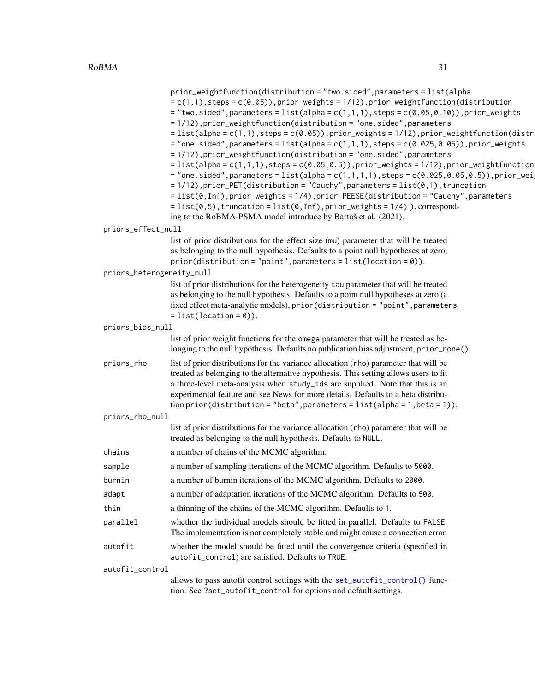<span id="page-30-0"></span>

|                           | pr for $\text{S}$ and $\text{S}$ are the case of $\text{S}$ and $\text{S}$ are $\text{S}$ and $\text{S}$ and $\text{S}$ are $\text{S}$ and $\text{S}$ are $\text{S}$ and $\text{S}$ are $\text{S}$ and $\text{S}$ are $\text{S}$ and $\text{S}$ are $\text{S}$ and $\text{S}$ ar<br>$= c(1,1)$ , steps = $c(0.05)$ , prior_weights = 1/12), prior_weightfunction(distribution<br>$=$ "two.sided", parameters = list(alpha = c(1,1,1), steps = c(0.05,0.10)), prior_weights<br>= 1/12), prior_weightfunction(distribution = "one.sided", parameters<br>$=$ list(alpha = c(1,1), steps = c(0.05)), prior_weights = 1/12), prior_weightfunction(distr<br>$=$ "one.sided", parameters = list(alpha = c(1,1,1), steps = c(0.025,0.05)), prior_weights<br>= 1/12), prior_weightfunction(distribution = "one.sided", parameters<br>$=$ list(alpha = c(1,1,1), steps = c(0.05,0.5)), prior_weights = 1/12), prior_weightfunction<br>$=$ "one.sided", parameters = list(alpha = c(1,1,1,1), steps = c(0.025,0.05,0.5)), prior_wei |
|---------------------------|--------------------------------------------------------------------------------------------------------------------------------------------------------------------------------------------------------------------------------------------------------------------------------------------------------------------------------------------------------------------------------------------------------------------------------------------------------------------------------------------------------------------------------------------------------------------------------------------------------------------------------------------------------------------------------------------------------------------------------------------------------------------------------------------------------------------------------------------------------------------------------------------------------------------------------------------------------------------------------------------------------------------------|
|                           | $= 1/12$ ), prior_PET(distribution = "Cauchy", parameters = $list(0,1)$ , truncation<br>= list(0, Inf), prior_weights = 1/4), prior_PEESE(distribution = "Cauchy", parameters<br>$= list(0, 5)$ , truncation = list(0, Inf), prior_weights = 1/4) ), correspond-                                                                                                                                                                                                                                                                                                                                                                                                                                                                                                                                                                                                                                                                                                                                                         |
|                           | ing to the RoBMA-PSMA model introduce by Bartoš et al. (2021).                                                                                                                                                                                                                                                                                                                                                                                                                                                                                                                                                                                                                                                                                                                                                                                                                                                                                                                                                           |
| priors_effect_null        | list of prior distributions for the effect size (mu) parameter that will be treated                                                                                                                                                                                                                                                                                                                                                                                                                                                                                                                                                                                                                                                                                                                                                                                                                                                                                                                                      |
|                           | as belonging to the null hypothesis. Defaults to a point null hypotheses at zero,<br>$prior(distribution = "point", parameters = list(location = 0)).$                                                                                                                                                                                                                                                                                                                                                                                                                                                                                                                                                                                                                                                                                                                                                                                                                                                                   |
| priors_heterogeneity_null |                                                                                                                                                                                                                                                                                                                                                                                                                                                                                                                                                                                                                                                                                                                                                                                                                                                                                                                                                                                                                          |
|                           | list of prior distributions for the heterogeneity tau parameter that will be treated<br>as belonging to the null hypothesis. Defaults to a point null hypotheses at zero (a<br>fixed effect meta-analytic models), prior (distribution = "point", parameters<br>$= list(location = 0)).$                                                                                                                                                                                                                                                                                                                                                                                                                                                                                                                                                                                                                                                                                                                                 |
| priors_bias_null          |                                                                                                                                                                                                                                                                                                                                                                                                                                                                                                                                                                                                                                                                                                                                                                                                                                                                                                                                                                                                                          |
|                           | list of prior weight functions for the omega parameter that will be treated as be-<br>longing to the null hypothesis. Defaults no publication bias adjustment, prior_none().                                                                                                                                                                                                                                                                                                                                                                                                                                                                                                                                                                                                                                                                                                                                                                                                                                             |
| priors_rho                | list of prior distributions for the variance allocation (rho) parameter that will be<br>treated as belonging to the alternative hypothesis. This setting allows users to fit<br>a three-level meta-analysis when study_ids are supplied. Note that this is an<br>experimental feature and see News for more details. Defaults to a beta distribu-<br>$\frac{1}{1}$ tion prior(distribution = "beta", parameters = list(alpha = 1, beta = 1)).                                                                                                                                                                                                                                                                                                                                                                                                                                                                                                                                                                            |
| priors_rho_null           |                                                                                                                                                                                                                                                                                                                                                                                                                                                                                                                                                                                                                                                                                                                                                                                                                                                                                                                                                                                                                          |
|                           | list of prior distributions for the variance allocation (rho) parameter that will be<br>treated as belonging to the null hypothesis. Defaults to NULL.                                                                                                                                                                                                                                                                                                                                                                                                                                                                                                                                                                                                                                                                                                                                                                                                                                                                   |
| chains                    | a number of chains of the MCMC algorithm.                                                                                                                                                                                                                                                                                                                                                                                                                                                                                                                                                                                                                                                                                                                                                                                                                                                                                                                                                                                |
| sample                    | a number of sampling iterations of the MCMC algorithm. Defaults to 5000.                                                                                                                                                                                                                                                                                                                                                                                                                                                                                                                                                                                                                                                                                                                                                                                                                                                                                                                                                 |
| burnin                    | a number of burnin iterations of the MCMC algorithm. Defaults to 2000.                                                                                                                                                                                                                                                                                                                                                                                                                                                                                                                                                                                                                                                                                                                                                                                                                                                                                                                                                   |
| adapt                     | a number of adaptation iterations of the MCMC algorithm. Defaults to 500.                                                                                                                                                                                                                                                                                                                                                                                                                                                                                                                                                                                                                                                                                                                                                                                                                                                                                                                                                |
| thin                      | a thinning of the chains of the MCMC algorithm. Defaults to 1.                                                                                                                                                                                                                                                                                                                                                                                                                                                                                                                                                                                                                                                                                                                                                                                                                                                                                                                                                           |
| parallel                  | whether the individual models should be fitted in parallel. Defaults to FALSE.<br>The implementation is not completely stable and might cause a connection error.                                                                                                                                                                                                                                                                                                                                                                                                                                                                                                                                                                                                                                                                                                                                                                                                                                                        |
| autofit                   | whether the model should be fitted until the convergence criteria (specified in<br>autofit_control) are satisfied. Defaults to TRUE.                                                                                                                                                                                                                                                                                                                                                                                                                                                                                                                                                                                                                                                                                                                                                                                                                                                                                     |
| autofit_control           |                                                                                                                                                                                                                                                                                                                                                                                                                                                                                                                                                                                                                                                                                                                                                                                                                                                                                                                                                                                                                          |
|                           | allows to pass autofit control settings with the set_autofit_control() func-<br>tion. See ?set_autofit_control for options and default settings.                                                                                                                                                                                                                                                                                                                                                                                                                                                                                                                                                                                                                                                                                                                                                                                                                                                                         |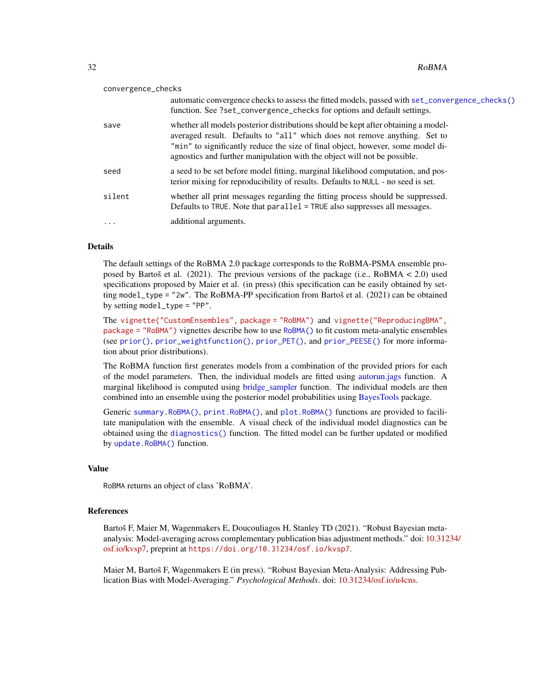<span id="page-31-0"></span>

|          | convergence_checks |                                                                                                                                                                                                                                                                                                                                |
|----------|--------------------|--------------------------------------------------------------------------------------------------------------------------------------------------------------------------------------------------------------------------------------------------------------------------------------------------------------------------------|
|          |                    | automatic convergence checks to assess the fitted models, passed with set_convergence_checks()<br>function. See ?set_convergence_checks for options and default settings.                                                                                                                                                      |
| save     |                    | whether all models posterior distributions should be kept after obtaining a model-<br>averaged result. Defaults to "all" which does not remove anything. Set to<br>"min" to significantly reduce the size of final object, however, some model di-<br>agnostics and further manipulation with the object will not be possible. |
| seed     |                    | a seed to be set before model fitting, marginal likelihood computation, and pos-<br>terior mixing for reproducibility of results. Defaults to NULL - no seed is set.                                                                                                                                                           |
|          | silent             | whether all print messages regarding the fitting process should be suppressed.<br>Defaults to TRUE. Note that parallel = TRUE also suppresses all messages.                                                                                                                                                                    |
| $\cdots$ |                    | additional arguments.                                                                                                                                                                                                                                                                                                          |
|          |                    |                                                                                                                                                                                                                                                                                                                                |

#### Details

The default settings of the RoBMA 2.0 package corresponds to the RoBMA-PSMA ensemble proposed by Bartoš et al. (2021). The previous versions of the package (i.e., RoBMA < 2.0) used specifications proposed by Maier et al. (in press) (this specification can be easily obtained by setting model\_type = "2w". The RoBMA-PP specification from Bartoš et al. (2021) can be obtained by setting model\_type = "PP".

The [vignette\("CustomEnsembles", package = "RoBMA"\)](../doc/CustomEnsembles.html) and [vignette\("ReproducingBMA",](../doc/ReproducingBMA.html) [package = "RoBMA"\)](../doc/ReproducingBMA.html) vignettes describe how to use [RoBMA\(\)](#page-27-1) to fit custom meta-analytic ensembles (see [prior\(\)](#page-19-1), [prior\\_weightfunction\(\)](#page-26-1), [prior\\_PET\(\)](#page-25-1), and [prior\\_PEESE\(\)](#page-23-1) for more information about prior distributions).

The RoBMA function first generates models from a combination of the provided priors for each of the model parameters. Then, the individual models are fitted using [autorun.jags](#page-0-0) function. A marginal likelihood is computed using [bridge\\_sampler](#page-0-0) function. The individual models are then combined into an ensemble using the posterior model probabilities using [BayesTools](#page-0-0) package.

Generic [summary.RoBMA\(\)](#page-37-1), [print.RoBMA\(\)](#page-18-1), and [plot.RoBMA\(\)](#page-14-1) functions are provided to facilitate manipulation with the ensemble. A visual check of the individual model diagnostics can be obtained using the [diagnostics\(\)](#page-9-1) function. The fitted model can be further updated or modified by [update.RoBMA\(\)](#page-39-1) function.

## Value

RoBMA returns an object of class 'RoBMA'.

#### References

Bartoš F, Maier M, Wagenmakers E, Doucouliagos H, Stanley TD (2021). "Robust Bayesian metaanalysis: Model-averaging across complementary publication bias adjustment methods." doi: [10.312](https://doi.org/10.31234/osf.io/kvsp7)34/ [osf.io/kvsp7,](https://doi.org/10.31234/osf.io/kvsp7) preprint at <https://doi.org/10.31234/osf.io/kvsp7>.

Maier M, Bartoš F, Wagenmakers E (in press). "Robust Bayesian Meta-Analysis: Addressing Publication Bias with Model-Averaging." *Psychological Methods*. doi: [10.31234/osf.io/u4cns.](https://doi.org/10.31234/osf.io/u4cns)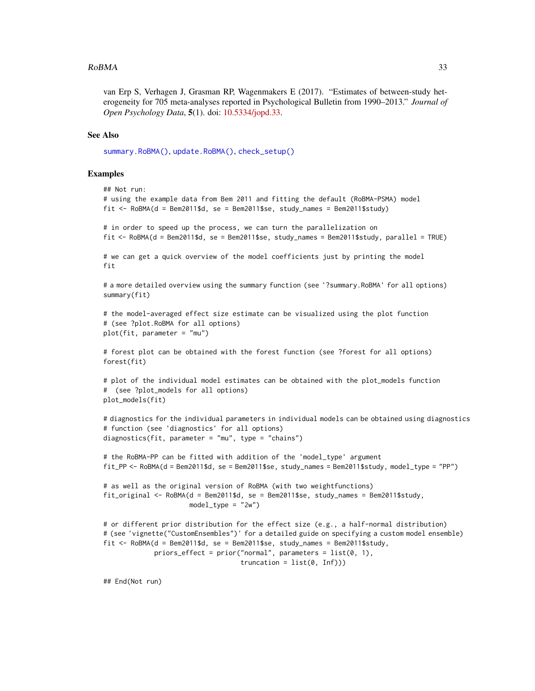#### <span id="page-32-0"></span> $RoBMA$  33

van Erp S, Verhagen J, Grasman RP, Wagenmakers E (2017). "Estimates of between-study heterogeneity for 705 meta-analyses reported in Psychological Bulletin from 1990–2013." *Journal of Open Psychology Data*, 5(1). doi: [10.5334/jopd.33.](https://doi.org/10.5334/jopd.33)

## See Also

[summary.RoBMA\(\)](#page-37-1), [update.RoBMA\(\)](#page-39-1), [check\\_setup\(\)](#page-4-1)

#### Examples

```
## Not run:
# using the example data from Bem 2011 and fitting the default (RoBMA-PSMA) model
fit \leq RoBMA(d = Bem2011$d, se = Bem2011$se, study_names = Bem2011$study)
# in order to speed up the process, we can turn the parallelization on
fit <- RoBMA(d = Bem2011$d, se = Bem2011$se, study_names = Bem2011$study, parallel = TRUE)
# we can get a quick overview of the model coefficients just by printing the model
fit
# a more detailed overview using the summary function (see '?summary.RoBMA' for all options)
summary(fit)
# the model-averaged effect size estimate can be visualized using the plot function
# (see ?plot.RoBMA for all options)
plot(fit, parameter = "mu")
# forest plot can be obtained with the forest function (see ?forest for all options)
forest(fit)
# plot of the individual model estimates can be obtained with the plot_models function
# (see ?plot_models for all options)
plot_models(fit)
# diagnostics for the individual parameters in individual models can be obtained using diagnostics
# function (see 'diagnostics' for all options)
diagnostics(fit, parameter = "mu", type = "chains")
# the RoBMA-PP can be fitted with addition of the 'model_type' argument
fit_PP <- RoBMA(d = Bem2011$d, se = Bem2011$se, study_names = Bem2011$study, model_type = "PP")
# as well as the original version of RoBMA (with two weightfunctions)
fit_original <- RoBMA(d = Bem2011$d, se = Bem2011$se, study_names = Bem2011$study,
                      model_type = "2w")# or different prior distribution for the effect size (e.g., a half-normal distribution)
# (see 'vignette("CustomEnsembles")' for a detailed guide on specifying a custom model ensemble)
fit \leq RoBMA(d = Bem2011$d, se = Bem2011$se, study_names = Bem2011$study,
             priors_effect = prior("normal", parameters = list(0, 1),
                                   truncation = list(0, Inf))
```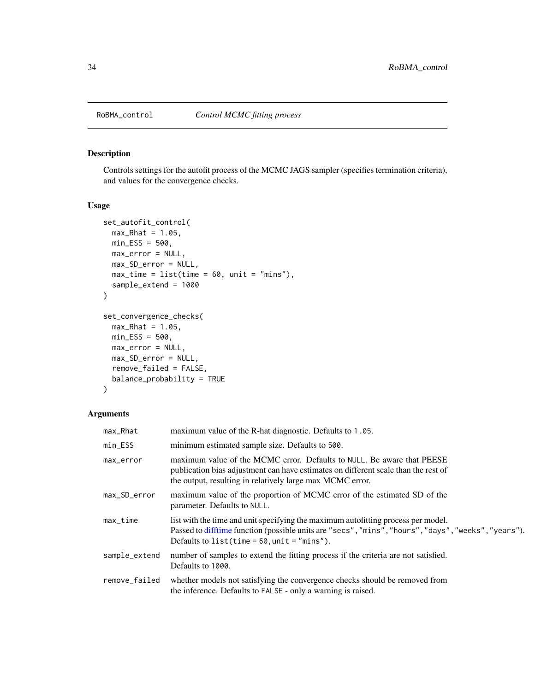<span id="page-33-0"></span>

## <span id="page-33-1"></span>Description

Controls settings for the autofit process of the MCMC JAGS sampler (specifies termination criteria), and values for the convergence checks.

#### Usage

```
set_autofit_control(
 max_Rhat = 1.05,
 min\_ESS = 500,
 max_error = NULL,
 max_SD_error = NULL,
 max_time = list(time = 60, unit = "mins"),sample_extend = 1000
)
set_convergence_checks(
 max_Rhat = 1.05,
 min\_ESS = 500,
 max_error = NULL,
 max_SD_error = NULL,
 remove_failed = FALSE,
 balance_probability = TRUE
)
```

| max_Rhat      | maximum value of the R-hat diagnostic. Defaults to 1.05.                                                                                                                                                                                   |
|---------------|--------------------------------------------------------------------------------------------------------------------------------------------------------------------------------------------------------------------------------------------|
| min_ESS       | minimum estimated sample size. Defaults to 500.                                                                                                                                                                                            |
| max_error     | maximum value of the MCMC error. Defaults to NULL. Be aware that PEESE<br>publication bias adjustment can have estimates on different scale than the rest of<br>the output, resulting in relatively large max MCMC error.                  |
| max_SD_error  | maximum value of the proportion of MCMC error of the estimated SD of the<br>parameter. Defaults to NULL.                                                                                                                                   |
| $max_time$    | list with the time and unit specifying the maximum autofitting process per model.<br>Passed to difftime function (possible units are "secs", "mins", "hours", "days", "weeks", "years").<br>Defaults to list(time = $60$ , unit = "mins"). |
| sample_extend | number of samples to extend the fitting process if the criteria are not satisfied.<br>Defaults to 1000.                                                                                                                                    |
| remove_failed | whether models not satisfying the convergence checks should be removed from<br>the inference. Defaults to FALSE - only a warning is raised.                                                                                                |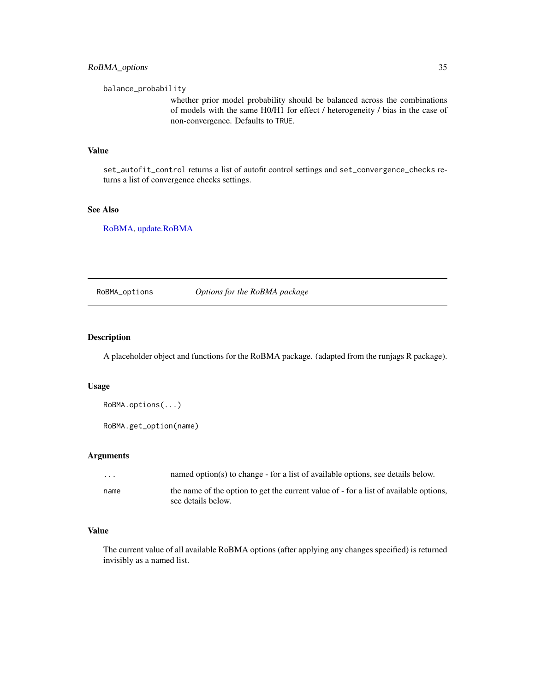<span id="page-34-0"></span>balance\_probability

whether prior model probability should be balanced across the combinations of models with the same H0/H1 for effect / heterogeneity / bias in the case of non-convergence. Defaults to TRUE.

## Value

set\_autofit\_control returns a list of autofit control settings and set\_convergence\_checks returns a list of convergence checks settings.

#### See Also

[RoBMA,](#page-27-1) [update.RoBMA](#page-39-1)

RoBMA\_options *Options for the RoBMA package*

## Description

A placeholder object and functions for the RoBMA package. (adapted from the runjags R package).

#### Usage

```
RoBMA.options(...)
```
RoBMA.get\_option(name)

## Arguments

| $\cdots$ | named option(s) to change - for a list of available options, see details below.                             |
|----------|-------------------------------------------------------------------------------------------------------------|
| name     | the name of the option to get the current value of - for a list of available options,<br>see details below. |
|          |                                                                                                             |

## Value

The current value of all available RoBMA options (after applying any changes specified) is returned invisibly as a named list.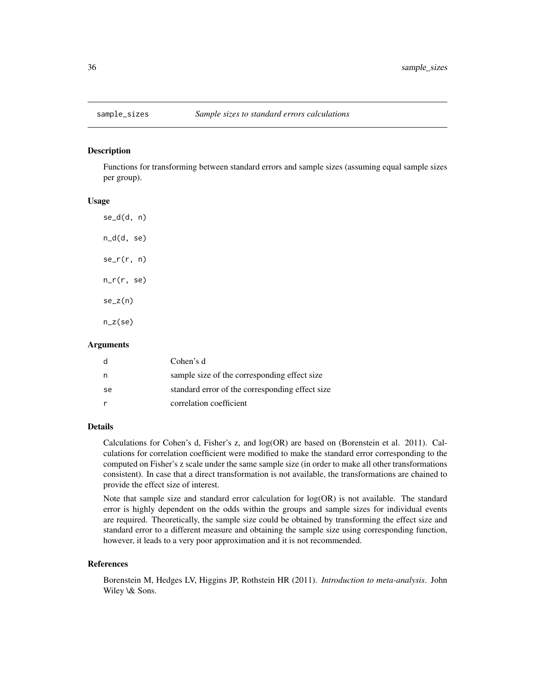<span id="page-35-1"></span><span id="page-35-0"></span>

#### Description

Functions for transforming between standard errors and sample sizes (assuming equal sample sizes per group).

## Usage

se\_d(d, n) n\_d(d, se)  $se_r(r, n)$ n\_r(r, se)  $se_z(n)$ n\_z(se)

#### Arguments

|    | Cohen's d                                       |
|----|-------------------------------------------------|
| n  | sample size of the corresponding effect size    |
| se | standard error of the corresponding effect size |
|    | correlation coefficient                         |

#### Details

Calculations for Cohen's d, Fisher's z, and log(OR) are based on (Borenstein et al. 2011). Calculations for correlation coefficient were modified to make the standard error corresponding to the computed on Fisher's z scale under the same sample size (in order to make all other transformations consistent). In case that a direct transformation is not available, the transformations are chained to provide the effect size of interest.

Note that sample size and standard error calculation for log(OR) is not available. The standard error is highly dependent on the odds within the groups and sample sizes for individual events are required. Theoretically, the sample size could be obtained by transforming the effect size and standard error to a different measure and obtaining the sample size using corresponding function, however, it leads to a very poor approximation and it is not recommended.

#### References

Borenstein M, Hedges LV, Higgins JP, Rothstein HR (2011). *Introduction to meta-analysis*. John Wiley \& Sons.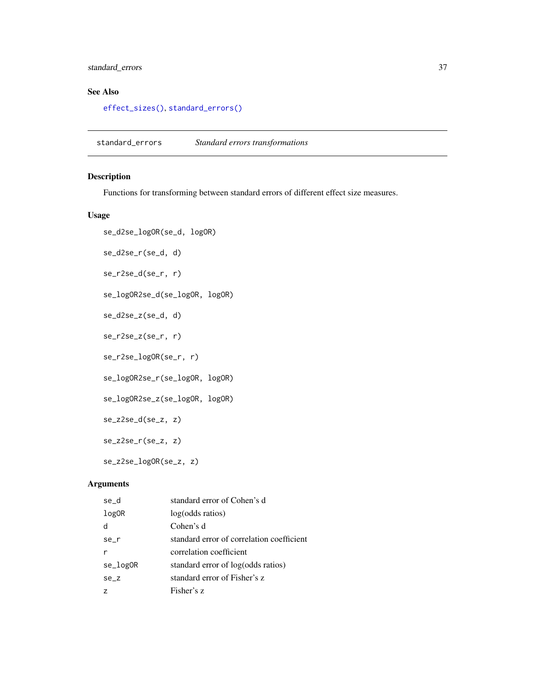## <span id="page-36-0"></span>standard\_errors 37

## See Also

[effect\\_sizes\(\)](#page-10-1), [standard\\_errors\(\)](#page-36-1)

<span id="page-36-1"></span>standard\_errors *Standard errors transformations*

## Description

Functions for transforming between standard errors of different effect size measures.

## Usage

```
se_d2se_logOR(se_d, logOR)
se_d2se_r(se_d, d)
se_r2se_d(se_r, r)
se_logOR2se_d(se_logOR, logOR)
se_d2se_z(se_d, d)
se_r2se_z(se_r, r)
se_r2se_logOR(se_r, r)
se_logOR2se_r(se_logOR, logOR)
se_logOR2se_z(se_logOR, logOR)
se_z2se_d(se_z, z)
se_z2se_r(se_z, z)
se_z2se_logOR(se_z, z)
```

| se_d       | standard error of Cohen's d               |
|------------|-------------------------------------------|
| log0R      | log(odds ratios)                          |
| d          | Cohen's d                                 |
| $se$ _ $r$ | standard error of correlation coefficient |
|            | correlation coefficient                   |
| se_logOR   | standard error of log(odds ratios)        |
| $se_z$     | standard error of Fisher's z              |
|            | Fisher's z                                |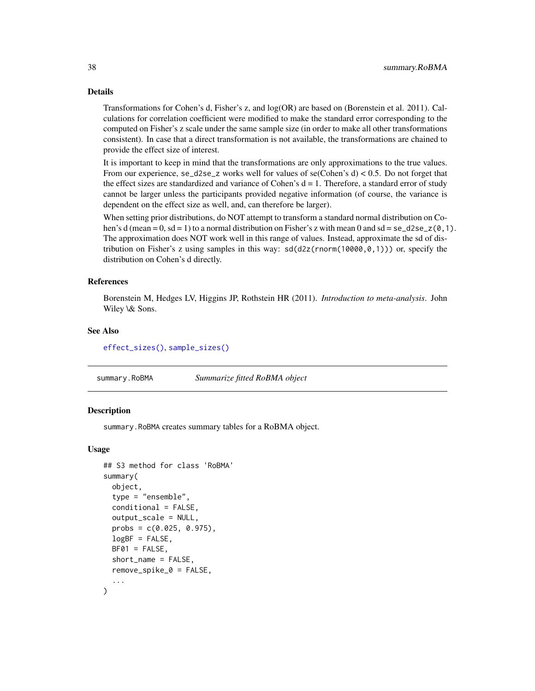#### Details

Transformations for Cohen's d, Fisher's z, and log(OR) are based on (Borenstein et al. 2011). Calculations for correlation coefficient were modified to make the standard error corresponding to the computed on Fisher's z scale under the same sample size (in order to make all other transformations consistent). In case that a direct transformation is not available, the transformations are chained to provide the effect size of interest.

It is important to keep in mind that the transformations are only approximations to the true values. From our experience, se\_d2se\_z works well for values of se(Cohen's  $d$ ) < 0.5. Do not forget that the effect sizes are standardized and variance of Cohen's  $d = 1$ . Therefore, a standard error of study cannot be larger unless the participants provided negative information (of course, the variance is dependent on the effect size as well, and, can therefore be larger).

When setting prior distributions, do NOT attempt to transform a standard normal distribution on Cohen's d (mean = 0, sd = 1) to a normal distribution on Fisher's z with mean 0 and sd = se\_d2se\_z( $0,1$ ). The approximation does NOT work well in this range of values. Instead, approximate the sd of distribution on Fisher's z using samples in this way:  $sd(d2z(ronorm(10000, 0, 1)))$  or, specify the distribution on Cohen's d directly.

#### References

Borenstein M, Hedges LV, Higgins JP, Rothstein HR (2011). *Introduction to meta-analysis*. John Wiley \& Sons.

#### See Also

[effect\\_sizes\(\)](#page-10-1), [sample\\_sizes\(\)](#page-35-1)

<span id="page-37-1"></span>summary.RoBMA *Summarize fitted RoBMA object*

## Description

summary.RoBMA creates summary tables for a RoBMA object.

#### Usage

```
## S3 method for class 'RoBMA'
summary(
  object,
  type = "ensemble",
  conditional = FALSE,
  output_scale = NULL,
  probs = c(0.025, 0.975),
  logBF = FALSE,
 BFO1 = FALSE,
  short_name = FALSE,
  remove_spike_0 = FALSE,
  ...
)
```
<span id="page-37-0"></span>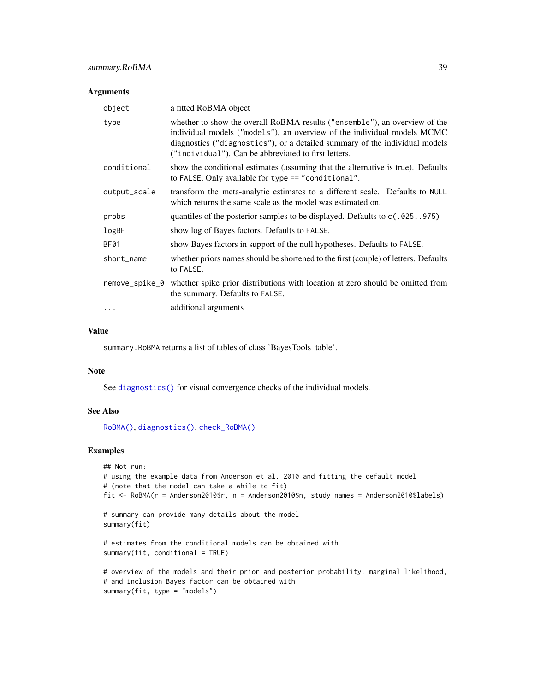#### <span id="page-38-0"></span>Arguments

| object       | a fitted RoBMA object                                                                                                                                                                                                                                                                        |
|--------------|----------------------------------------------------------------------------------------------------------------------------------------------------------------------------------------------------------------------------------------------------------------------------------------------|
| type         | whether to show the overall RoBMA results ("ensemble"), an overview of the<br>individual models ("models"), an overview of the individual models MCMC<br>diagnostics ("diagnostics"), or a detailed summary of the individual models<br>("individual"). Can be abbreviated to first letters. |
| conditional  | show the conditional estimates (assuming that the alternative is true). Defaults<br>to FALSE. Only available for type == "conditional".                                                                                                                                                      |
| output_scale | transform the meta-analytic estimates to a different scale. Defaults to NULL<br>which returns the same scale as the model was estimated on.                                                                                                                                                  |
| probs        | quantiles of the posterior samples to be displayed. Defaults to $c(.025, .975)$                                                                                                                                                                                                              |
| logBF        | show log of Bayes factors. Defaults to FALSE.                                                                                                                                                                                                                                                |
| BF01         | show Bayes factors in support of the null hypotheses. Defaults to FALSE.                                                                                                                                                                                                                     |
| short_name   | whether priors names should be shortened to the first (couple) of letters. Defaults<br>to FALSE.                                                                                                                                                                                             |
|              | remove_spike_0 whether spike prior distributions with location at zero should be omitted from<br>the summary. Defaults to FALSE.                                                                                                                                                             |
| $\ddotsc$    | additional arguments                                                                                                                                                                                                                                                                         |

## Value

summary.RoBMA returns a list of tables of class 'BayesTools\_table'.

#### Note

See [diagnostics\(\)](#page-9-1) for visual convergence checks of the individual models.

## See Also

[RoBMA\(\)](#page-27-1), [diagnostics\(\)](#page-9-1), [check\\_RoBMA\(\)](#page-4-2)

## Examples

```
## Not run:
# using the example data from Anderson et al. 2010 and fitting the default model
# (note that the model can take a while to fit)
fit <- RoBMA(r = Anderson2010$r, n = Anderson2010$n, study_names = Anderson2010$labels)
# summary can provide many details about the model
summary(fit)
# estimates from the conditional models can be obtained with
summary(fit, conditional = TRUE)
# overview of the models and their prior and posterior probability, marginal likelihood,
# and inclusion Bayes factor can be obtained with
summary(fit, type = "models")
```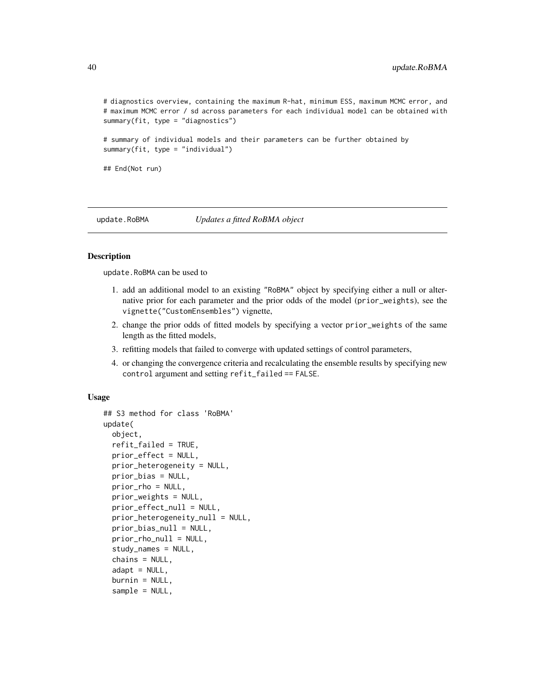<span id="page-39-0"></span># diagnostics overview, containing the maximum R-hat, minimum ESS, maximum MCMC error, and # maximum MCMC error / sd across parameters for each individual model can be obtained with summary(fit, type = "diagnostics")

# summary of individual models and their parameters can be further obtained by summary(fit, type = "individual")

## End(Not run)

<span id="page-39-1"></span>update.RoBMA *Updates a fitted RoBMA object*

#### **Description**

update.RoBMA can be used to

- 1. add an additional model to an existing "RoBMA" object by specifying either a null or alternative prior for each parameter and the prior odds of the model (prior\_weights), see the vignette("CustomEnsembles") vignette,
- 2. change the prior odds of fitted models by specifying a vector prior\_weights of the same length as the fitted models,
- 3. refitting models that failed to converge with updated settings of control parameters,
- 4. or changing the convergence criteria and recalculating the ensemble results by specifying new control argument and setting refit\_failed == FALSE.

#### Usage

```
## S3 method for class 'RoBMA'
update(
  object,
  refit_failed = TRUE,
  prior_effect = NULL,
  prior_heterogeneity = NULL,
  prior_bias = NULL,
 prior_rho = NULL,
 prior_weights = NULL,
  prior_effect_null = NULL,
  prior_heterogeneity_null = NULL,
 prior_bias_null = NULL,
  prior_rho_null = NULL,
  study_names = NULL,
  chains = NULL,
  adapt = NULL,burnin = NULL,
  sample = NULL,
```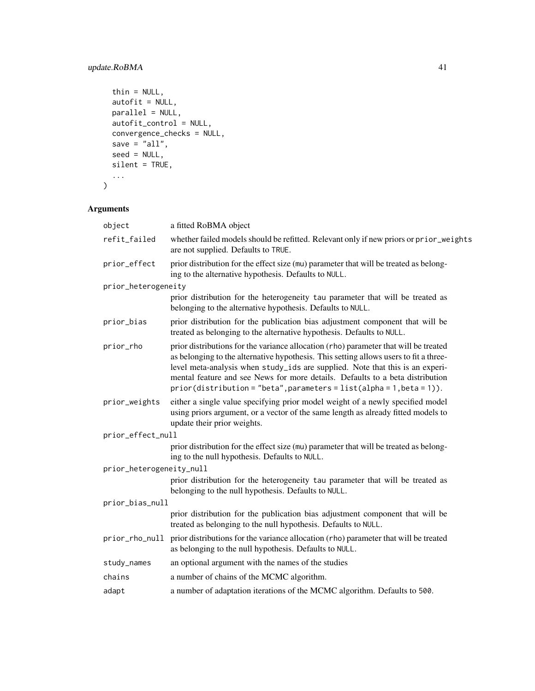## update.RoBMA 41

```
thin = NULL,
 autofit = NULL,parallel = NULL,
 autofit_control = NULL,
 convergence_checks = NULL,
 save = "all",seed = NULL,
 silent = TRUE,
  ...
)
```

| object                   | a fitted RoBMA object                                                                                                                                                                                                                                                                                                                                                                                                      |
|--------------------------|----------------------------------------------------------------------------------------------------------------------------------------------------------------------------------------------------------------------------------------------------------------------------------------------------------------------------------------------------------------------------------------------------------------------------|
| refit_failed             | whether failed models should be refitted. Relevant only if new priors or prior_weights<br>are not supplied. Defaults to TRUE.                                                                                                                                                                                                                                                                                              |
| prior_effect             | prior distribution for the effect size (mu) parameter that will be treated as belong-<br>ing to the alternative hypothesis. Defaults to NULL.                                                                                                                                                                                                                                                                              |
| prior_heterogeneity      |                                                                                                                                                                                                                                                                                                                                                                                                                            |
|                          | prior distribution for the heterogeneity tau parameter that will be treated as<br>belonging to the alternative hypothesis. Defaults to NULL.                                                                                                                                                                                                                                                                               |
| prior_bias               | prior distribution for the publication bias adjustment component that will be<br>treated as belonging to the alternative hypothesis. Defaults to NULL.                                                                                                                                                                                                                                                                     |
| prior_rho                | prior distributions for the variance allocation (rho) parameter that will be treated<br>as belonging to the alternative hypothesis. This setting allows users to fit a three-<br>level meta-analysis when study_ids are supplied. Note that this is an experi-<br>mental feature and see News for more details. Defaults to a beta distribution<br>$prior(distribution = "beta", parameters = list(alpha = 1, beta = 1)).$ |
| prior_weights            | either a single value specifying prior model weight of a newly specified model<br>using priors argument, or a vector of the same length as already fitted models to<br>update their prior weights.                                                                                                                                                                                                                         |
| prior_effect_null        |                                                                                                                                                                                                                                                                                                                                                                                                                            |
|                          | prior distribution for the effect size (mu) parameter that will be treated as belong-<br>ing to the null hypothesis. Defaults to NULL.                                                                                                                                                                                                                                                                                     |
| prior_heterogeneity_null |                                                                                                                                                                                                                                                                                                                                                                                                                            |
|                          | prior distribution for the heterogeneity tau parameter that will be treated as<br>belonging to the null hypothesis. Defaults to NULL.                                                                                                                                                                                                                                                                                      |
| prior_bias_null          |                                                                                                                                                                                                                                                                                                                                                                                                                            |
|                          | prior distribution for the publication bias adjustment component that will be<br>treated as belonging to the null hypothesis. Defaults to NULL.                                                                                                                                                                                                                                                                            |
| prior_rho_null           | prior distributions for the variance allocation (rho) parameter that will be treated<br>as belonging to the null hypothesis. Defaults to NULL.                                                                                                                                                                                                                                                                             |
| study_names              | an optional argument with the names of the studies                                                                                                                                                                                                                                                                                                                                                                         |
| chains                   | a number of chains of the MCMC algorithm.                                                                                                                                                                                                                                                                                                                                                                                  |
| adapt                    | a number of adaptation iterations of the MCMC algorithm. Defaults to 500.                                                                                                                                                                                                                                                                                                                                                  |
|                          |                                                                                                                                                                                                                                                                                                                                                                                                                            |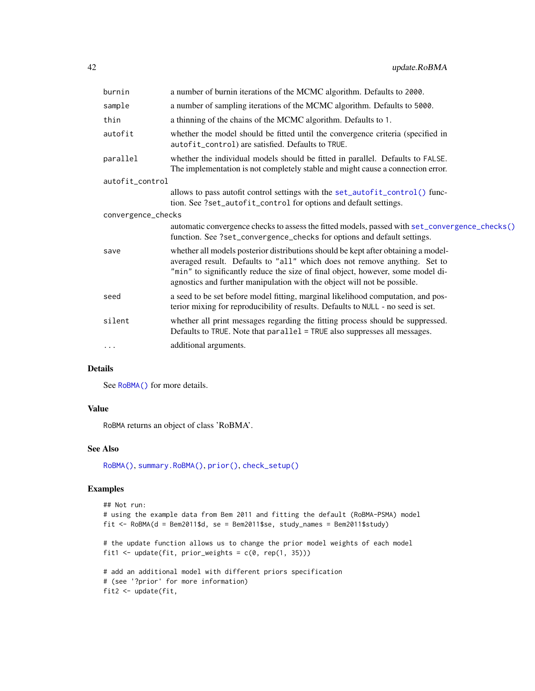<span id="page-41-0"></span>

| a number of burnin iterations of the MCMC algorithm. Defaults to 2000.                                                                                                                                                                                                                                                         |  |
|--------------------------------------------------------------------------------------------------------------------------------------------------------------------------------------------------------------------------------------------------------------------------------------------------------------------------------|--|
| a number of sampling iterations of the MCMC algorithm. Defaults to 5000.                                                                                                                                                                                                                                                       |  |
| a thinning of the chains of the MCMC algorithm. Defaults to 1.                                                                                                                                                                                                                                                                 |  |
| whether the model should be fitted until the convergence criteria (specified in<br>autofit_control) are satisfied. Defaults to TRUE.                                                                                                                                                                                           |  |
| whether the individual models should be fitted in parallel. Defaults to FALSE.<br>The implementation is not completely stable and might cause a connection error.                                                                                                                                                              |  |
| autofit_control                                                                                                                                                                                                                                                                                                                |  |
| allows to pass autofit control settings with the set_autofit_control() func-<br>tion. See ?set_autofit_control for options and default settings.                                                                                                                                                                               |  |
| convergence_checks                                                                                                                                                                                                                                                                                                             |  |
| automatic convergence checks to assess the fitted models, passed with set_convergence_checks()<br>function. See ?set_convergence_checks for options and default settings.                                                                                                                                                      |  |
| whether all models posterior distributions should be kept after obtaining a model-<br>averaged result. Defaults to "all" which does not remove anything. Set to<br>"min" to significantly reduce the size of final object, however, some model di-<br>agnostics and further manipulation with the object will not be possible. |  |
| a seed to be set before model fitting, marginal likelihood computation, and pos-<br>terior mixing for reproducibility of results. Defaults to NULL - no seed is set.                                                                                                                                                           |  |
| whether all print messages regarding the fitting process should be suppressed.<br>Defaults to TRUE. Note that parallel = TRUE also suppresses all messages.                                                                                                                                                                    |  |
| additional arguments.                                                                                                                                                                                                                                                                                                          |  |
|                                                                                                                                                                                                                                                                                                                                |  |

#### Details

See [RoBMA\(\)](#page-27-1) for more details.

## Value

RoBMA returns an object of class 'RoBMA'.

#### See Also

[RoBMA\(\)](#page-27-1), [summary.RoBMA\(\)](#page-37-1), [prior\(\)](#page-19-1), [check\\_setup\(\)](#page-4-1)

## Examples

```
## Not run:
# using the example data from Bem 2011 and fitting the default (RoBMA-PSMA) model
fit <- RoBMA(d = Bem2011$d, se = Bem2011$se, study_names = Bem2011$study)
# the update function allows us to change the prior model weights of each model
fit1 <- update(fit, prior_weights = c(0, rep(1, 35))))
# add an additional model with different priors specification
# (see '?prior' for more information)
fit2 <- update(fit,
```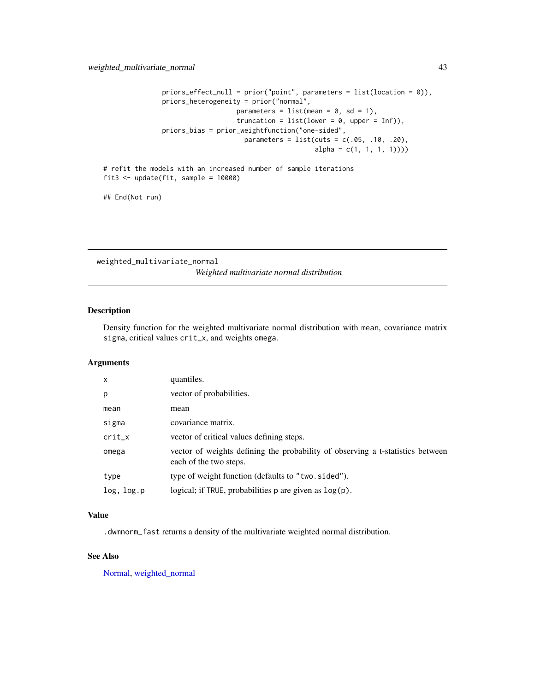```
priors_effect_null = prior("point", parameters = list(location = 0)),
priors_heterogeneity = prior("normal",
                  parameters = list(mean = 0, sd = 1),
                   truncation = list(lower = 0, upper = Inf)),priors_bias = prior_weightfunction("one-sided",
                    parameters = list(cuts = c(.05, .10, .20),alpha = c(1, 1, 1, 1))
```

```
# refit the models with an increased number of sample iterations
fit3 \leftarrow update(fit, sample = 10000)
```
## End(Not run)

weighted\_multivariate\_normal *Weighted multivariate normal distribution*

#### Description

Density function for the weighted multivariate normal distribution with mean, covariance matrix sigma, critical values crit\_x, and weights omega.

#### Arguments

| X          | quantiles.                                                                                               |
|------------|----------------------------------------------------------------------------------------------------------|
| p          | vector of probabilities.                                                                                 |
| mean       | mean                                                                                                     |
| sigma      | covariance matrix.                                                                                       |
| $crit_x$   | vector of critical values defining steps.                                                                |
| omega      | vector of weights defining the probability of observing a t-statistics between<br>each of the two steps. |
| type       | type of weight function (defaults to "two.sided").                                                       |
| log, log.p | logical; if TRUE, probabilities $p$ are given as $log(p)$ .                                              |

## Value

.dwmnorm\_fast returns a density of the multivariate weighted normal distribution.

## See Also

[Normal,](#page-0-0) [weighted\\_normal](#page-43-1)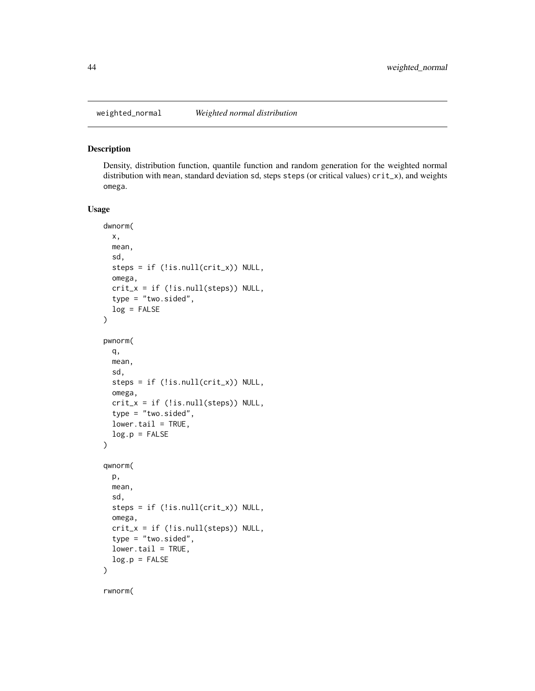<span id="page-43-1"></span><span id="page-43-0"></span>

#### Description

Density, distribution function, quantile function and random generation for the weighted normal distribution with mean, standard deviation sd, steps steps (or critical values) crit\_x), and weights omega.

#### Usage

```
dwnorm(
 x,
 mean,
  sd,
  steps = if (!is.null(crit_x)) NULL,
 omega,
 crit_x = if (!is-null(steps)) NULL,type = "two.sided",
 log = FALSE
)
pwnorm(
 q,
 mean,
  sd,
  steps = if (!is.null(crit_x)) NULL,
 omega,
 crit_x = if (!is.null(steps)) NULL,
  type = "two.sided",
  lower.tail = TRUE,log.p = FALSE)
qwnorm(
 p,
 mean,
  sd,
  steps = if (!is.null(crit_x)) NULL,
 omega,
 crit_x = if (!is.null(steps)) NULL,type = "two-sided",lower.tail = TRUE,
 log.p = FALSE)
```
rwnorm(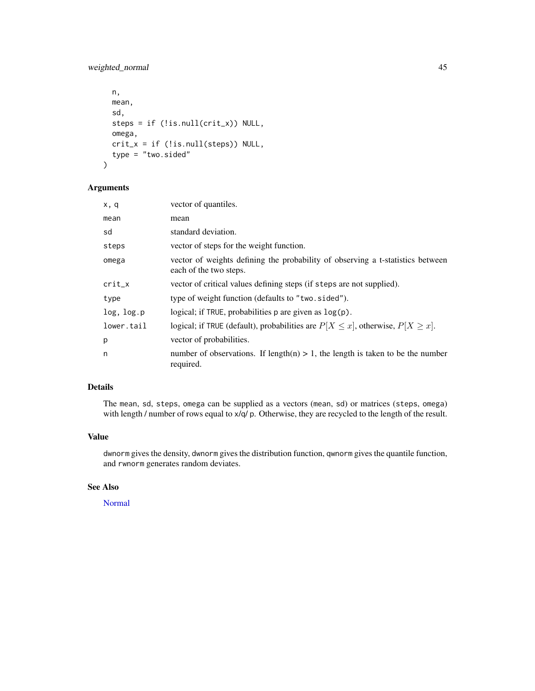## <span id="page-44-0"></span>weighted\_normal 45

```
n,
 mean,
  sd,
  steps = if (!is.null(crit_x)) NULL,
  omega,
  crit_x = if (!is.null(steps)) NULL,
  type = "two.sided"
\mathcal{L}
```
## Arguments

| x, q       | vector of quantiles.                                                                                     |
|------------|----------------------------------------------------------------------------------------------------------|
| mean       | mean                                                                                                     |
| sd         | standard deviation.                                                                                      |
| steps      | vector of steps for the weight function.                                                                 |
| omega      | vector of weights defining the probability of observing a t-statistics between<br>each of the two steps. |
| $crit_x$   | vector of critical values defining steps (if steps are not supplied).                                    |
| type       | type of weight function (defaults to "two.sided").                                                       |
| log, log.p | logical; if TRUE, probabilities $p$ are given as $log(p)$ .                                              |
| lower.tail | logical; if TRUE (default), probabilities are $P[X \le x]$ , otherwise, $P[X \ge x]$ .                   |
| p          | vector of probabilities.                                                                                 |
| n          | number of observations. If length(n) $> 1$ , the length is taken to be the number<br>required.           |

## Details

The mean, sd, steps, omega can be supplied as a vectors (mean, sd) or matrices (steps, omega) with length / number of rows equal to  $x/q$  p. Otherwise, they are recycled to the length of the result.

## Value

dwnorm gives the density, dwnorm gives the distribution function, qwnorm gives the quantile function, and rwnorm generates random deviates.

## See Also

[Normal](#page-0-0)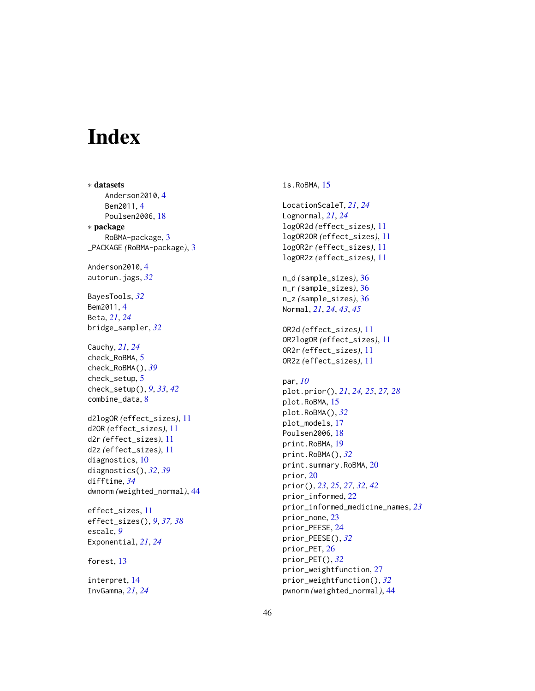# <span id="page-45-0"></span>**Index**

∗ datasets Anderson2010,[4](#page-3-0) Bem2011 , [4](#page-3-0) Poulsen2006 , [18](#page-17-0) ∗ package RoBMA-package, [3](#page-2-0) \_PACKAGE *(*RoBMA-package *)* , [3](#page-2-0) Anderson2010,[4](#page-3-0) autorun.jags , *[32](#page-31-0)* BayesTools , *[32](#page-31-0)* Bem2011 , [4](#page-3-0) Beta , *[21](#page-20-0)* , *[24](#page-23-0)* bridge\_sampler , *[32](#page-31-0)* Cauchy , *[21](#page-20-0)* , *[24](#page-23-0)* check\_RoBMA , [5](#page-4-0) check\_RoBMA() , *[39](#page-38-0)* check\_setup , [5](#page-4-0) check\_setup() , *[9](#page-8-0)* , *[33](#page-32-0)* , *[42](#page-41-0)* combine\_data , [8](#page-7-0) d2logOR *(*effect\_sizes *)* , [11](#page-10-0) d2OR *(*effect\_sizes *)* , [11](#page-10-0) d2r *(*effect\_sizes *)* , [11](#page-10-0) d2z *(*effect\_sizes *)* , [11](#page-10-0) diagnostics , [10](#page-9-0) diagnostics() , *[32](#page-31-0)* , *[39](#page-38-0)* difftime , *[34](#page-33-0)* dwnorm *(*weighted\_normal *)* , [44](#page-43-0) effect\_sizes , [11](#page-10-0) effect\_sizes() , *[9](#page-8-0)* , *[37,](#page-36-0) [38](#page-37-0)* escalc , *[9](#page-8-0)* Exponential , *[21](#page-20-0)* , *[24](#page-23-0)* forest, [13](#page-12-0) interpret , [14](#page-13-0)

InvGamma , *[21](#page-20-0)* , *[24](#page-23-0)*

is.RoBMA , [15](#page-14-0) LocationScaleT , *[21](#page-20-0)* , *[24](#page-23-0)* Lognormal , *[21](#page-20-0)* , *[24](#page-23-0)* logOR2d *(*effect\_sizes *)* , [11](#page-10-0) logOR2OR *(*effect\_sizes *)* , [11](#page-10-0) logOR2r *(*effect\_sizes *)* , [11](#page-10-0) logOR2z *(*effect\_sizes *)* , [11](#page-10-0) n\_d *(*sample\_sizes *)* , [36](#page-35-0) n\_r *(*sample\_sizes *)* , [36](#page-35-0) n\_z *(*sample\_sizes *)* , [36](#page-35-0) Normal , *[21](#page-20-0)* , *[24](#page-23-0)* , *[43](#page-42-0)* , *[45](#page-44-0)* OR2d *(*effect\_sizes *)* , [11](#page-10-0) OR2logOR *(*effect\_sizes *)* , [11](#page-10-0) OR2r *(*effect\_sizes *)* , [11](#page-10-0) OR2z *(*effect\_sizes *)* , [11](#page-10-0) par , *[10](#page-9-0)* plot.prior() , *[21](#page-20-0)* , *[24](#page-23-0) , [25](#page-24-0)* , *[27,](#page-26-0) [28](#page-27-0)* plot.RoBMA, 1<mark>5</mark> plot.RoBMA() , *[32](#page-31-0)* plot\_models , [17](#page-16-0) Poulsen2006 , [18](#page-17-0) print.RoBMA , [19](#page-18-0) print.RoBMA() , *[32](#page-31-0)* print.summary.RoBMA, [20](#page-19-0) prior , [20](#page-19-0) prior() , *[23](#page-22-0)* , *[25](#page-24-0)* , *[27](#page-26-0)* , *[32](#page-31-0)* , *[42](#page-41-0)* prior\_informed , [22](#page-21-0) prior\_informed\_medicine\_names , *[23](#page-22-0)* prior\_none , [23](#page-22-0) prior\_PEESE , [24](#page-23-0) prior\_PEESE() , *[32](#page-31-0)* prior\_PET , [26](#page-25-0) prior\_PET() , *[32](#page-31-0)* prior\_weightfunction , [27](#page-26-0) prior\_weightfunction() , *[32](#page-31-0)* pwnorm *(*weighted\_normal *)* , [44](#page-43-0)